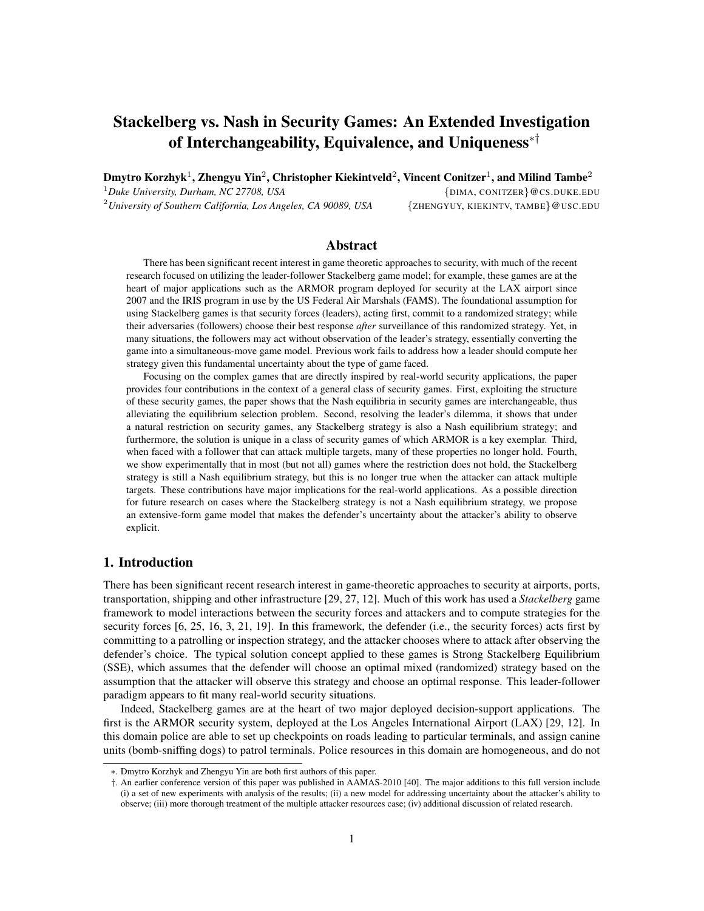# Stackelberg vs. Nash in Security Games: An Extended Investigation of Interchangeability, Equivalence, and Uniqueness∗†

Dmytro Korzhyk $^1$ , Zhengyu Yin $^2$ , Christopher Kiekintveld $^2$ , Vincent Conitzer $^1$ , and Milind Tambe $^2$ <sup>1</sup>Duke University, Durham, NC 27708, USA  $\{DIMA, CONITZER\} @$  CS.DUKE.EDU <sup>2</sup>*University of Southern California, Los Angeles, CA 90089, USA* {ZHENGYUY, KIEKINTV, TAMBE}@USC.EDU

# Abstract

There has been significant recent interest in game theoretic approaches to security, with much of the recent research focused on utilizing the leader-follower Stackelberg game model; for example, these games are at the heart of major applications such as the ARMOR program deployed for security at the LAX airport since 2007 and the IRIS program in use by the US Federal Air Marshals (FAMS). The foundational assumption for using Stackelberg games is that security forces (leaders), acting first, commit to a randomized strategy; while their adversaries (followers) choose their best response *after* surveillance of this randomized strategy. Yet, in many situations, the followers may act without observation of the leader's strategy, essentially converting the game into a simultaneous-move game model. Previous work fails to address how a leader should compute her strategy given this fundamental uncertainty about the type of game faced.

Focusing on the complex games that are directly inspired by real-world security applications, the paper provides four contributions in the context of a general class of security games. First, exploiting the structure of these security games, the paper shows that the Nash equilibria in security games are interchangeable, thus alleviating the equilibrium selection problem. Second, resolving the leader's dilemma, it shows that under a natural restriction on security games, any Stackelberg strategy is also a Nash equilibrium strategy; and furthermore, the solution is unique in a class of security games of which ARMOR is a key exemplar. Third, when faced with a follower that can attack multiple targets, many of these properties no longer hold. Fourth, we show experimentally that in most (but not all) games where the restriction does not hold, the Stackelberg strategy is still a Nash equilibrium strategy, but this is no longer true when the attacker can attack multiple targets. These contributions have major implications for the real-world applications. As a possible direction for future research on cases where the Stackelberg strategy is not a Nash equilibrium strategy, we propose an extensive-form game model that makes the defender's uncertainty about the attacker's ability to observe explicit.

# 1. Introduction

There has been significant recent research interest in game-theoretic approaches to security at airports, ports, transportation, shipping and other infrastructure [29, 27, 12]. Much of this work has used a *Stackelberg* game framework to model interactions between the security forces and attackers and to compute strategies for the security forces [6, 25, 16, 3, 21, 19]. In this framework, the defender (i.e., the security forces) acts first by committing to a patrolling or inspection strategy, and the attacker chooses where to attack after observing the defender's choice. The typical solution concept applied to these games is Strong Stackelberg Equilibrium (SSE), which assumes that the defender will choose an optimal mixed (randomized) strategy based on the assumption that the attacker will observe this strategy and choose an optimal response. This leader-follower paradigm appears to fit many real-world security situations.

Indeed, Stackelberg games are at the heart of two major deployed decision-support applications. The first is the ARMOR security system, deployed at the Los Angeles International Airport (LAX) [29, 12]. In this domain police are able to set up checkpoints on roads leading to particular terminals, and assign canine units (bomb-sniffing dogs) to patrol terminals. Police resources in this domain are homogeneous, and do not

<sup>∗</sup>. Dmytro Korzhyk and Zhengyu Yin are both first authors of this paper.

<sup>†</sup>. An earlier conference version of this paper was published in AAMAS-2010 [40]. The major additions to this full version include (i) a set of new experiments with analysis of the results; (ii) a new model for addressing uncertainty about the attacker's ability to observe; (iii) more thorough treatment of the multiple attacker resources case; (iv) additional discussion of related research.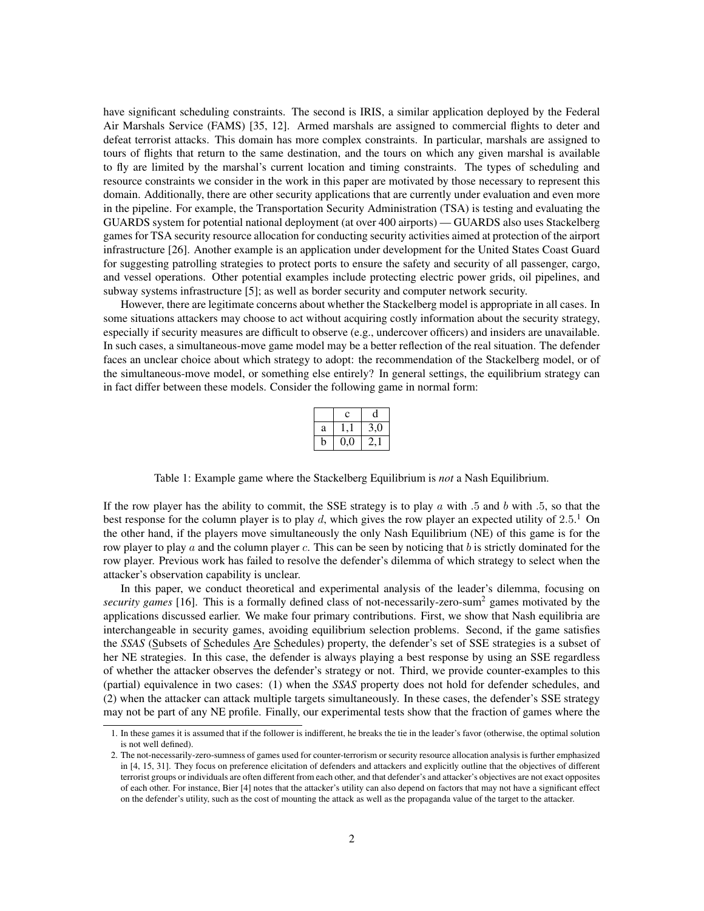have significant scheduling constraints. The second is IRIS, a similar application deployed by the Federal Air Marshals Service (FAMS) [35, 12]. Armed marshals are assigned to commercial flights to deter and defeat terrorist attacks. This domain has more complex constraints. In particular, marshals are assigned to tours of flights that return to the same destination, and the tours on which any given marshal is available to fly are limited by the marshal's current location and timing constraints. The types of scheduling and resource constraints we consider in the work in this paper are motivated by those necessary to represent this domain. Additionally, there are other security applications that are currently under evaluation and even more in the pipeline. For example, the Transportation Security Administration (TSA) is testing and evaluating the GUARDS system for potential national deployment (at over 400 airports) — GUARDS also uses Stackelberg games for TSA security resource allocation for conducting security activities aimed at protection of the airport infrastructure [26]. Another example is an application under development for the United States Coast Guard for suggesting patrolling strategies to protect ports to ensure the safety and security of all passenger, cargo, and vessel operations. Other potential examples include protecting electric power grids, oil pipelines, and subway systems infrastructure [5]; as well as border security and computer network security.

However, there are legitimate concerns about whether the Stackelberg model is appropriate in all cases. In some situations attackers may choose to act without acquiring costly information about the security strategy, especially if security measures are difficult to observe (e.g., undercover officers) and insiders are unavailable. In such cases, a simultaneous-move game model may be a better reflection of the real situation. The defender faces an unclear choice about which strategy to adopt: the recommendation of the Stackelberg model, or of the simultaneous-move model, or something else entirely? In general settings, the equilibrium strategy can in fact differ between these models. Consider the following game in normal form:

|   | Ċ   | a             |
|---|-----|---------------|
| a |     | 3,0           |
| n | 0,0 | $\mathcal{L}$ |

Table 1: Example game where the Stackelberg Equilibrium is *not* a Nash Equilibrium.

If the row player has the ability to commit, the SSE strategy is to play  $a$  with .5 and  $b$  with .5, so that the best response for the column player is to play d, which gives the row player an expected utility of 2.5.<sup>1</sup> On the other hand, if the players move simultaneously the only Nash Equilibrium (NE) of this game is for the row player to play  $a$  and the column player  $c$ . This can be seen by noticing that  $b$  is strictly dominated for the row player. Previous work has failed to resolve the defender's dilemma of which strategy to select when the attacker's observation capability is unclear.

In this paper, we conduct theoretical and experimental analysis of the leader's dilemma, focusing on *security games* [16]. This is a formally defined class of not-necessarily-zero-sum<sup>2</sup> games motivated by the applications discussed earlier. We make four primary contributions. First, we show that Nash equilibria are interchangeable in security games, avoiding equilibrium selection problems. Second, if the game satisfies the *SSAS* (Subsets of Schedules Are Schedules) property, the defender's set of SSE strategies is a subset of her NE strategies. In this case, the defender is always playing a best response by using an SSE regardless of whether the attacker observes the defender's strategy or not. Third, we provide counter-examples to this (partial) equivalence in two cases: (1) when the *SSAS* property does not hold for defender schedules, and (2) when the attacker can attack multiple targets simultaneously. In these cases, the defender's SSE strategy may not be part of any NE profile. Finally, our experimental tests show that the fraction of games where the

<sup>1.</sup> In these games it is assumed that if the follower is indifferent, he breaks the tie in the leader's favor (otherwise, the optimal solution is not well defined).

<sup>2.</sup> The not-necessarily-zero-sumness of games used for counter-terrorism or security resource allocation analysis is further emphasized in [4, 15, 31]. They focus on preference elicitation of defenders and attackers and explicitly outline that the objectives of different terrorist groups or individuals are often different from each other, and that defender's and attacker's objectives are not exact opposites of each other. For instance, Bier [4] notes that the attacker's utility can also depend on factors that may not have a significant effect on the defender's utility, such as the cost of mounting the attack as well as the propaganda value of the target to the attacker.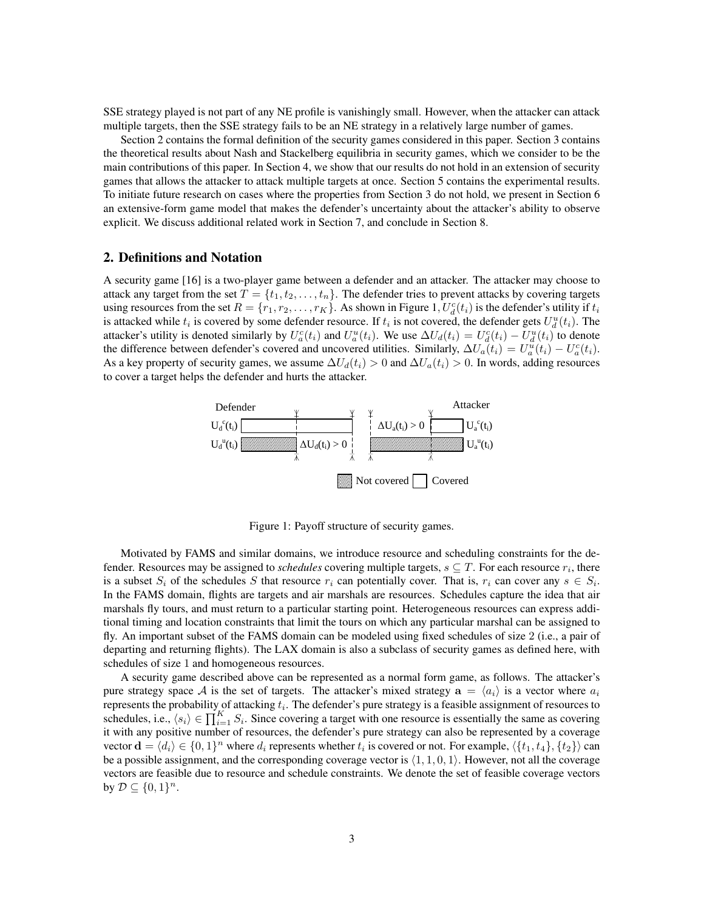SSE strategy played is not part of any NE profile is vanishingly small. However, when the attacker can attack multiple targets, then the SSE strategy fails to be an NE strategy in a relatively large number of games.

Section 2 contains the formal definition of the security games considered in this paper. Section 3 contains the theoretical results about Nash and Stackelberg equilibria in security games, which we consider to be the main contributions of this paper. In Section 4, we show that our results do not hold in an extension of security games that allows the attacker to attack multiple targets at once. Section 5 contains the experimental results. To initiate future research on cases where the properties from Section 3 do not hold, we present in Section 6 an extensive-form game model that makes the defender's uncertainty about the attacker's ability to observe explicit. We discuss additional related work in Section 7, and conclude in Section 8.

#### 2. Definitions and Notation

A security game [16] is a two-player game between a defender and an attacker. The attacker may choose to attack any target from the set  $T = \{t_1, t_2, \ldots, t_n\}$ . The defender tries to prevent attacks by covering targets using resources from the set  $R = \{r_1, r_2, \dots, r_K\}$ . As shown in Figure 1,  $U_d^c(t_i)$  is the defender's utility if  $t_i$ is attacked while  $t_i$  is covered by some defender resource. If  $t_i$  is not covered, the defender gets  $U_d^u(t_i)$ . The attacker's utility is denoted similarly by  $U_a^c(t_i)$  and  $U_a^u(t_i)$ . We use  $\Delta U_a(t_i) = U_d^c(t_i) - U_d^u(t_i)$  to denote the difference between defender's covered and uncovered utilities. Similarly,  $\Delta U_a(t_i) = U_a^u(t_i) - U_a^c(t_i)$ . As a key property of security games, we assume  $\Delta U_d(t_i) > 0$  and  $\Delta U_a(t_i) > 0$ . In words, adding resources to cover a target helps the defender and hurts the attacker.



Figure 1: Payoff structure of security games.

Motivated by FAMS and similar domains, we introduce resource and scheduling constraints for the defender. Resources may be assigned to *schedules* covering multiple targets,  $s \subseteq T$ . For each resource  $r_i$ , there is a subset  $S_i$  of the schedules S that resource  $r_i$  can potentially cover. That is,  $r_i$  can cover any  $s \in S_i$ . In the FAMS domain, flights are targets and air marshals are resources. Schedules capture the idea that air marshals fly tours, and must return to a particular starting point. Heterogeneous resources can express additional timing and location constraints that limit the tours on which any particular marshal can be assigned to fly. An important subset of the FAMS domain can be modeled using fixed schedules of size 2 (i.e., a pair of departing and returning flights). The LAX domain is also a subclass of security games as defined here, with schedules of size 1 and homogeneous resources.

A security game described above can be represented as a normal form game, as follows. The attacker's pure strategy space A is the set of targets. The attacker's mixed strategy  $a = \langle a_i \rangle$  is a vector where  $a_i$ represents the probability of attacking  $t_i$ . The defender's pure strategy is a feasible assignment of resources to schedules, i.e.,  $\langle s_i \rangle \in \prod_{i=1}^K S_i$ . Since covering a target with one resource is essentially the same as covering it with any positive number of resources, the defender's pure strategy can also be represented by a coverage vector  $\mathbf{d} = \langle d_i \rangle \in \{0, 1\}^n$  where  $d_i$  represents whether  $t_i$  is covered or not. For example,  $\langle \{t_1, t_4\}, \{t_2\} \rangle$  can be a possible assignment, and the corresponding coverage vector is  $\langle 1, 1, 0, 1 \rangle$ . However, not all the coverage vectors are feasible due to resource and schedule constraints. We denote the set of feasible coverage vectors by  $D \subseteq \{0,1\}^n$ .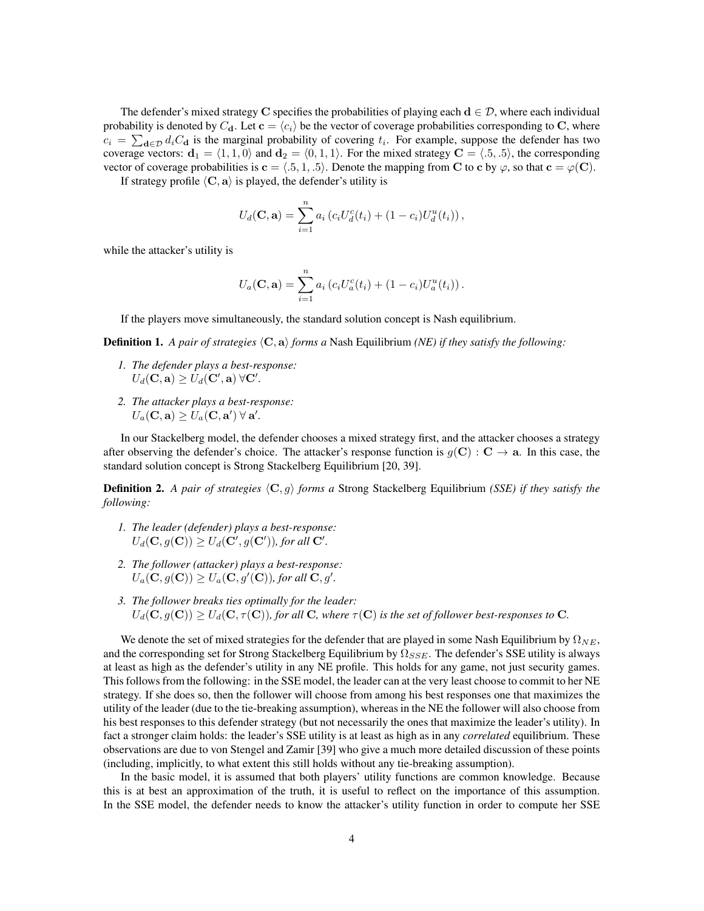The defender's mixed strategy C specifies the probabilities of playing each  $d \in \mathcal{D}$ , where each individual probability is denoted by  $C_{d}$ . Let  $c = \langle c_i \rangle$  be the vector of coverage probabilities corresponding to C, where  $c_i = \sum_{\mathbf{d} \in \mathcal{D}} d_i C_{\mathbf{d}}$  is the marginal probability of covering  $t_i$ . For example, suppose the defender has two coverage vectors:  $d_1 = \langle 1, 1, 0 \rangle$  and  $d_2 = \langle 0, 1, 1 \rangle$ . For the mixed strategy  $C = \langle .5, .5 \rangle$ , the corresponding vector of coverage probabilities is  $c = \langle .5, 1, .5 \rangle$ . Denote the mapping from C to c by  $\varphi$ , so that  $c = \varphi(C)$ .

If strategy profile  $\langle C, a \rangle$  is played, the defender's utility is

$$
U_d(\mathbf{C}, \mathbf{a}) = \sum_{i=1}^n a_i (c_i U_d^c(t_i) + (1 - c_i) U_d^u(t_i)),
$$

while the attacker's utility is

$$
U_a(\mathbf{C}, \mathbf{a}) = \sum_{i=1}^n a_i (c_i U_a^c(t_i) + (1 - c_i) U_a^u(t_i)).
$$

If the players move simultaneously, the standard solution concept is Nash equilibrium.

**Definition 1.** A pair of strategies  $\langle C, a \rangle$  forms a Nash Equilibrium *(NE) if they satisfy the following:* 

- *1. The defender plays a best-response:*  $U_d(\mathbf{C}, \mathbf{a}) \geq U_d(\mathbf{C}', \mathbf{a}) \ \forall \mathbf{C}'.$
- *2. The attacker plays a best-response:*  $U_a(\mathbf{C}, \mathbf{a}) \ge U_a(\mathbf{C}, \mathbf{a}') \ \forall \ \mathbf{a}'.$

In our Stackelberg model, the defender chooses a mixed strategy first, and the attacker chooses a strategy after observing the defender's choice. The attacker's response function is  $q(\mathbf{C}) : \mathbf{C} \to \mathbf{a}$ . In this case, the standard solution concept is Strong Stackelberg Equilibrium [20, 39].

**Definition 2.** A pair of strategies  $\langle \mathbf{C}, q \rangle$  forms a Strong Stackelberg Equilibrium *(SSE) if they satisfy the following:*

- *1. The leader (defender) plays a best-response:*  $U_d(\mathbf{C}, g(\mathbf{C})) \ge U_d(\mathbf{C}', g(\mathbf{C}'))$ , for all  $\mathbf{C}'$ .
- *2. The follower (attacker) plays a best-response:*  $U_a(C, g(C)) \ge U_a(C, g'(C))$ , for all  $C, g'$ .
- *3. The follower breaks ties optimally for the leader:*  $U_d(\mathbf{C}, g(\mathbf{C})) \geq U_d(\mathbf{C}, \tau(\mathbf{C}))$ , for all **C**, where  $\tau(\mathbf{C})$  is the set of follower best-responses to **C**.

We denote the set of mixed strategies for the defender that are played in some Nash Equilibrium by  $\Omega_{NE}$ , and the corresponding set for Strong Stackelberg Equilibrium by  $\Omega_{SSE}$ . The defender's SSE utility is always at least as high as the defender's utility in any NE profile. This holds for any game, not just security games. This follows from the following: in the SSE model, the leader can at the very least choose to commit to her NE strategy. If she does so, then the follower will choose from among his best responses one that maximizes the utility of the leader (due to the tie-breaking assumption), whereas in the NE the follower will also choose from his best responses to this defender strategy (but not necessarily the ones that maximize the leader's utility). In fact a stronger claim holds: the leader's SSE utility is at least as high as in any *correlated* equilibrium. These observations are due to von Stengel and Zamir [39] who give a much more detailed discussion of these points (including, implicitly, to what extent this still holds without any tie-breaking assumption).

In the basic model, it is assumed that both players' utility functions are common knowledge. Because this is at best an approximation of the truth, it is useful to reflect on the importance of this assumption. In the SSE model, the defender needs to know the attacker's utility function in order to compute her SSE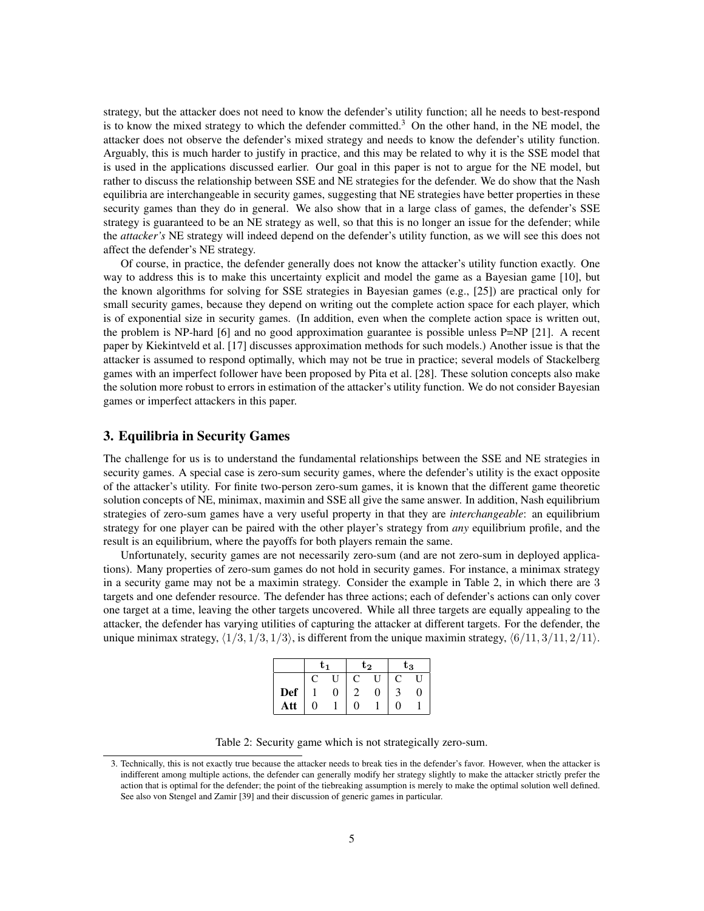strategy, but the attacker does not need to know the defender's utility function; all he needs to best-respond is to know the mixed strategy to which the defender committed.<sup>3</sup> On the other hand, in the NE model, the attacker does not observe the defender's mixed strategy and needs to know the defender's utility function. Arguably, this is much harder to justify in practice, and this may be related to why it is the SSE model that is used in the applications discussed earlier. Our goal in this paper is not to argue for the NE model, but rather to discuss the relationship between SSE and NE strategies for the defender. We do show that the Nash equilibria are interchangeable in security games, suggesting that NE strategies have better properties in these security games than they do in general. We also show that in a large class of games, the defender's SSE strategy is guaranteed to be an NE strategy as well, so that this is no longer an issue for the defender; while the *attacker's* NE strategy will indeed depend on the defender's utility function, as we will see this does not affect the defender's NE strategy.

Of course, in practice, the defender generally does not know the attacker's utility function exactly. One way to address this is to make this uncertainty explicit and model the game as a Bayesian game [10], but the known algorithms for solving for SSE strategies in Bayesian games (e.g., [25]) are practical only for small security games, because they depend on writing out the complete action space for each player, which is of exponential size in security games. (In addition, even when the complete action space is written out, the problem is NP-hard [6] and no good approximation guarantee is possible unless P=NP [21]. A recent paper by Kiekintveld et al. [17] discusses approximation methods for such models.) Another issue is that the attacker is assumed to respond optimally, which may not be true in practice; several models of Stackelberg games with an imperfect follower have been proposed by Pita et al. [28]. These solution concepts also make the solution more robust to errors in estimation of the attacker's utility function. We do not consider Bayesian games or imperfect attackers in this paper.

# 3. Equilibria in Security Games

The challenge for us is to understand the fundamental relationships between the SSE and NE strategies in security games. A special case is zero-sum security games, where the defender's utility is the exact opposite of the attacker's utility. For finite two-person zero-sum games, it is known that the different game theoretic solution concepts of NE, minimax, maximin and SSE all give the same answer. In addition, Nash equilibrium strategies of zero-sum games have a very useful property in that they are *interchangeable*: an equilibrium strategy for one player can be paired with the other player's strategy from *any* equilibrium profile, and the result is an equilibrium, where the payoffs for both players remain the same.

Unfortunately, security games are not necessarily zero-sum (and are not zero-sum in deployed applications). Many properties of zero-sum games do not hold in security games. For instance, a minimax strategy in a security game may not be a maximin strategy. Consider the example in Table 2, in which there are 3 targets and one defender resource. The defender has three actions; each of defender's actions can only cover one target at a time, leaving the other targets uncovered. While all three targets are equally appealing to the attacker, the defender has varying utilities of capturing the attacker at different targets. For the defender, the unique minimax strategy,  $\langle 1/3, 1/3, 1/3 \rangle$ , is different from the unique maximin strategy,  $\langle 6/11, 3/11, 2/11 \rangle$ .

|            | t1 |   | $t_{2}$ |   | $t_{3}$ |              |
|------------|----|---|---------|---|---------|--------------|
|            |    | 0 | C       | U | C       | $\mathbf{U}$ |
| <b>Def</b> |    | 0 |         | 0 |         | 0            |
| Att        | ⋂  |   | ∩       |   | ∩       |              |

Table 2: Security game which is not strategically zero-sum.

<sup>3.</sup> Technically, this is not exactly true because the attacker needs to break ties in the defender's favor. However, when the attacker is indifferent among multiple actions, the defender can generally modify her strategy slightly to make the attacker strictly prefer the action that is optimal for the defender; the point of the tiebreaking assumption is merely to make the optimal solution well defined. See also von Stengel and Zamir [39] and their discussion of generic games in particular.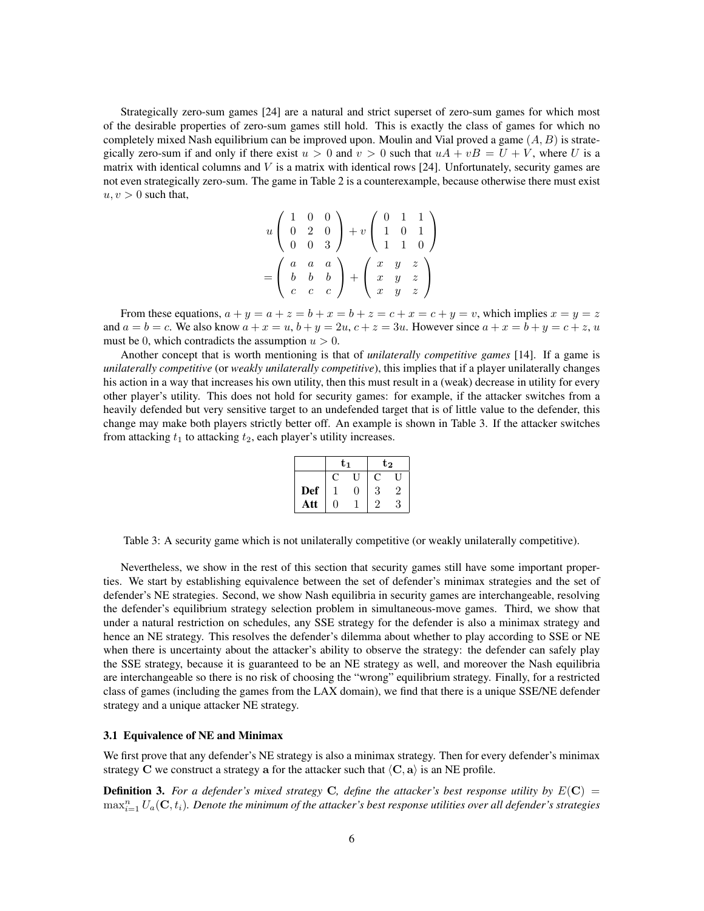Strategically zero-sum games [24] are a natural and strict superset of zero-sum games for which most of the desirable properties of zero-sum games still hold. This is exactly the class of games for which no completely mixed Nash equilibrium can be improved upon. Moulin and Vial proved a game  $(A, B)$  is strategically zero-sum if and only if there exist  $u > 0$  and  $v > 0$  such that  $uA + vB = U + V$ , where U is a matrix with identical columns and  $V$  is a matrix with identical rows [24]. Unfortunately, security games are not even strategically zero-sum. The game in Table 2 is a counterexample, because otherwise there must exist  $u, v > 0$  such that,

$$
u \begin{pmatrix} 1 & 0 & 0 \\ 0 & 2 & 0 \\ 0 & 0 & 3 \end{pmatrix} + v \begin{pmatrix} 0 & 1 & 1 \\ 1 & 0 & 1 \\ 1 & 1 & 0 \end{pmatrix}
$$

$$
= \begin{pmatrix} a & a & a \\ b & b & b \\ c & c & c \end{pmatrix} + \begin{pmatrix} x & y & z \\ x & y & z \\ x & y & z \end{pmatrix}
$$

From these equations,  $a + y = a + z = b + x = b + z = c + x = c + y = v$ , which implies  $x = y = z$ and  $a = b = c$ . We also know  $a + x = u$ ,  $b + y = 2u$ ,  $c + z = 3u$ . However since  $a + x = b + y = c + z$ , u must be 0, which contradicts the assumption  $u > 0$ .

Another concept that is worth mentioning is that of *unilaterally competitive games* [14]. If a game is *unilaterally competitive* (or *weakly unilaterally competitive*), this implies that if a player unilaterally changes his action in a way that increases his own utility, then this must result in a (weak) decrease in utility for every other player's utility. This does not hold for security games: for example, if the attacker switches from a heavily defended but very sensitive target to an undefended target that is of little value to the defender, this change may make both players strictly better off. An example is shown in Table 3. If the attacker switches from attacking  $t_1$  to attacking  $t_2$ , each player's utility increases.

|            | t1 |   | $\mathrm{t}_2$ |   |  |
|------------|----|---|----------------|---|--|
|            | C  |   | C              |   |  |
| <b>Def</b> |    | 0 | 3              |   |  |
| Att        | ⋂  |   | ച              | 3 |  |

Table 3: A security game which is not unilaterally competitive (or weakly unilaterally competitive).

Nevertheless, we show in the rest of this section that security games still have some important properties. We start by establishing equivalence between the set of defender's minimax strategies and the set of defender's NE strategies. Second, we show Nash equilibria in security games are interchangeable, resolving the defender's equilibrium strategy selection problem in simultaneous-move games. Third, we show that under a natural restriction on schedules, any SSE strategy for the defender is also a minimax strategy and hence an NE strategy. This resolves the defender's dilemma about whether to play according to SSE or NE when there is uncertainty about the attacker's ability to observe the strategy: the defender can safely play the SSE strategy, because it is guaranteed to be an NE strategy as well, and moreover the Nash equilibria are interchangeable so there is no risk of choosing the "wrong" equilibrium strategy. Finally, for a restricted class of games (including the games from the LAX domain), we find that there is a unique SSE/NE defender strategy and a unique attacker NE strategy.

#### 3.1 Equivalence of NE and Minimax

We first prove that any defender's NE strategy is also a minimax strategy. Then for every defender's minimax strategy C we construct a strategy a for the attacker such that  $\langle C, a \rangle$  is an NE profile.

**Definition 3.** For a defender's mixed strategy C, define the attacker's best response utility by  $E(C) =$  $\max_{i=1}^n U_a({\bf C},t_i)$ . Denote the minimum of the attacker's best response utilities over all defender's strategies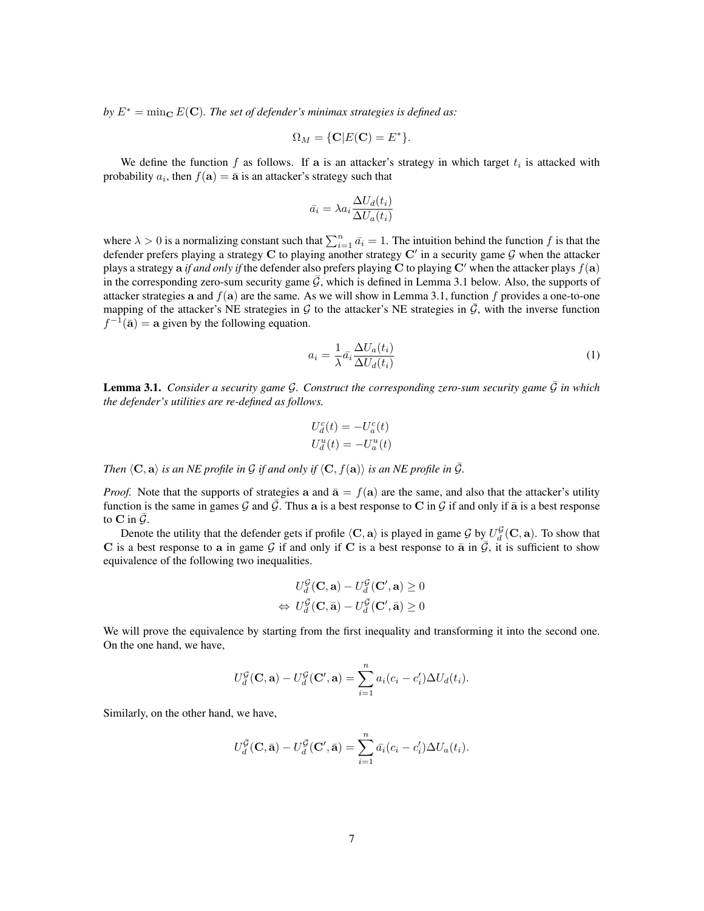*by*  $E^* = \min_{\mathbf{C}} E(\mathbf{C})$ *. The set of defender's minimax strategies is defined as:* 

$$
\Omega_M = \{ \mathbf{C} | E(\mathbf{C}) = E^* \}.
$$

We define the function  $f$  as follows. If a is an attacker's strategy in which target  $t_i$  is attacked with probability  $a_i$ , then  $f(\mathbf{a}) = \bar{\mathbf{a}}$  is an attacker's strategy such that

$$
\bar{a_i} = \lambda a_i \frac{\Delta U_d(t_i)}{\Delta U_a(t_i)}
$$

where  $\lambda > 0$  is a normalizing constant such that  $\sum_{i=1}^n \bar{a}_i = 1$ . The intuition behind the function f is that the defender prefers playing a strategy C to playing another strategy C' in a security game G when the attacker plays a strategy a *if and only if* the defender also prefers playing C to playing C' when the attacker plays  $f(a)$ in the corresponding zero-sum security game  $G$ , which is defined in Lemma 3.1 below. Also, the supports of attacker strategies a and  $f(a)$  are the same. As we will show in Lemma 3.1, function f provides a one-to-one mapping of the attacker's NE strategies in  $G$  to the attacker's NE strategies in  $\bar{G}$ , with the inverse function  $f^{-1}(\bar{a}) = a$  given by the following equation.

$$
a_i = \frac{1}{\lambda} \bar{a}_i \frac{\Delta U_a(t_i)}{\Delta U_d(t_i)}\tag{1}
$$

**Lemma 3.1.** *Consider a security game G. Construct the corresponding zero-sum security game*  $\bar{G}$  *in which the defender's utilities are re-defined as follows.*

$$
U_d^c(t) = -U_a^c(t)
$$
  

$$
U_d^u(t) = -U_a^u(t)
$$

*Then*  $\langle \mathbf{C}, \mathbf{a} \rangle$  *is an NE profile in*  $\mathcal G$  *if and only if*  $\langle \mathbf{C}, f(\mathbf{a}) \rangle$  *is an NE profile in*  $\overline{\mathcal G}$ *.* 

*Proof.* Note that the supports of strategies a and  $\bar{a} = f(a)$  are the same, and also that the attacker's utility function is the same in games G and G. Thus a is a best response to C in G if and only if  $\bar{a}$  is a best response to C in  $\bar{\mathcal{G}}$ .

Denote the utility that the defender gets if profile  $\langle C, a \rangle$  is played in game G by  $U_d^{\mathcal{G}}(C, a)$ . To show that C is a best response to a in game G if and only if C is a best response to  $\bar{a}$  in  $\bar{G}$ , it is sufficient to show equivalence of the following two inequalities.

$$
U_d^{\mathcal{G}}(\mathbf{C}, \mathbf{a}) - U_d^{\mathcal{G}}(\mathbf{C}', \mathbf{a}) \ge 0
$$
  

$$
\Leftrightarrow U_d^{\bar{\mathcal{G}}}(\mathbf{C}, \bar{\mathbf{a}}) - U_d^{\bar{\mathcal{G}}}(\mathbf{C}', \bar{\mathbf{a}}) \ge 0
$$

We will prove the equivalence by starting from the first inequality and transforming it into the second one. On the one hand, we have,

$$
U_d^{\mathcal{G}}(\mathbf{C}, \mathbf{a}) - U_d^{\mathcal{G}}(\mathbf{C}', \mathbf{a}) = \sum_{i=1}^n a_i (c_i - c'_i) \Delta U_d(t_i).
$$

Similarly, on the other hand, we have,

$$
U_d^{\overline{\mathcal{G}}}(\mathbf{C}, \overline{\mathbf{a}}) - U_d^{\overline{\mathcal{G}}}(\mathbf{C}', \overline{\mathbf{a}}) = \sum_{i=1}^n \overline{a}_i (c_i - c'_i) \Delta U_a(t_i).
$$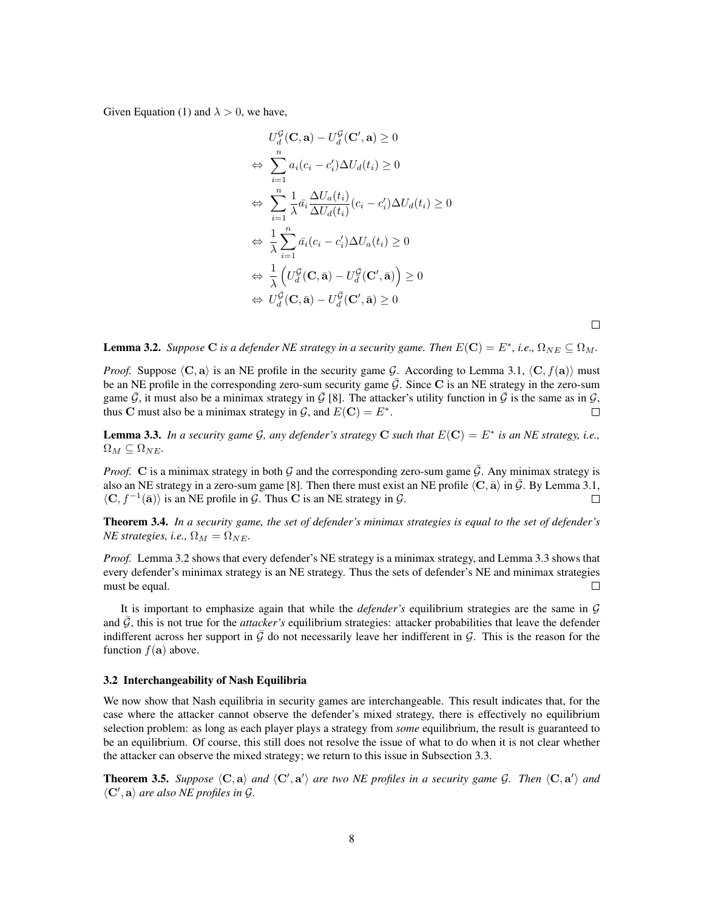Given Equation (1) and  $\lambda > 0$ , we have,

$$
U_d^{\mathcal{G}}(\mathbf{C}, \mathbf{a}) - U_d^{\mathcal{G}}(\mathbf{C}', \mathbf{a}) \ge 0
$$
  
\n
$$
\Leftrightarrow \sum_{i=1}^n a_i (c_i - c'_i) \Delta U_d(t_i) \ge 0
$$
  
\n
$$
\Leftrightarrow \sum_{i=1}^n \frac{1}{\lambda} \bar{a}_i \frac{\Delta U_a(t_i)}{\Delta U_d(t_i)} (c_i - c'_i) \Delta U_d(t_i) \ge 0
$$
  
\n
$$
\Leftrightarrow \frac{1}{\lambda} \sum_{i=1}^n \bar{a}_i (c_i - c'_i) \Delta U_a(t_i) \ge 0
$$
  
\n
$$
\Leftrightarrow \frac{1}{\lambda} \left( U_d^{\bar{\mathcal{G}}}(\mathbf{C}, \bar{\mathbf{a}}) - U_d^{\bar{\mathcal{G}}}(\mathbf{C}', \bar{\mathbf{a}}) \right) \ge 0
$$
  
\n
$$
\Leftrightarrow U_d^{\mathcal{G}}(\mathbf{C}, \bar{\mathbf{a}}) - U_d^{\mathcal{G}}(\mathbf{C}', \bar{\mathbf{a}}) \ge 0
$$

 $\Box$ 

**Lemma 3.2.** Suppose C is a defender NE strategy in a security game. Then  $E(\mathbf{C}) = E^*$ , i.e.,  $\Omega_{NE} \subseteq \Omega_M$ .

*Proof.* Suppose  $\langle C, a \rangle$  is an NE profile in the security game G. According to Lemma 3.1,  $\langle C, f(a) \rangle$  must be an NE profile in the corresponding zero-sum security game  $\mathcal G$ . Since C is an NE strategy in the zero-sum game  $\bar{G}$ , it must also be a minimax strategy in  $\bar{G}$  [8]. The attacker's utility function in  $\bar{G}$  is the same as in  $G$ , thus C must also be a minimax strategy in  $\mathcal{G}$ , and  $E(\mathbf{C}) = E^*$ .  $\Box$ 

**Lemma 3.3.** In a security game G, any defender's strategy C such that  $E(C) = E^*$  is an NE strategy, i.e.,  $\Omega_M \subseteq \Omega_{NE}$ .

*Proof.* C is a minimax strategy in both G and the corresponding zero-sum game  $\bar{G}$ . Any minimax strategy is also an NE strategy in a zero-sum game [8]. Then there must exist an NE profile  $\langle C, \bar{a} \rangle$  in  $\mathcal G$ . By Lemma 3.1,  $\langle C, f^{-1}(\bar{a})\rangle$  is an NE profile in G. Thus C is an NE strategy in G.  $\Box$ 

Theorem 3.4. *In a security game, the set of defender's minimax strategies is equal to the set of defender's NE* strategies, i.e.,  $\Omega_M = \Omega_{NE}$ .

*Proof.* Lemma 3.2 shows that every defender's NE strategy is a minimax strategy, and Lemma 3.3 shows that every defender's minimax strategy is an NE strategy. Thus the sets of defender's NE and minimax strategies must be equal.  $\Box$ 

It is important to emphasize again that while the *defender's* equilibrium strategies are the same in G and  $\vec{G}$ , this is not true for the *attacker's* equilibrium strategies: attacker probabilities that leave the defender indifferent across her support in  $\bar{G}$  do not necessarily leave her indifferent in  $G$ . This is the reason for the function  $f(\mathbf{a})$  above.

#### 3.2 Interchangeability of Nash Equilibria

We now show that Nash equilibria in security games are interchangeable. This result indicates that, for the case where the attacker cannot observe the defender's mixed strategy, there is effectively no equilibrium selection problem: as long as each player plays a strategy from *some* equilibrium, the result is guaranteed to be an equilibrium. Of course, this still does not resolve the issue of what to do when it is not clear whether the attacker can observe the mixed strategy; we return to this issue in Subsection 3.3.

**Theorem 3.5.** Suppose  $\langle C, a \rangle$  and  $\langle C', a' \rangle$  are two NE profiles in a security game G. Then  $\langle C, a' \rangle$  and  $\langle C', a \rangle$  are also NE profiles in  $\mathcal{G}$ *.*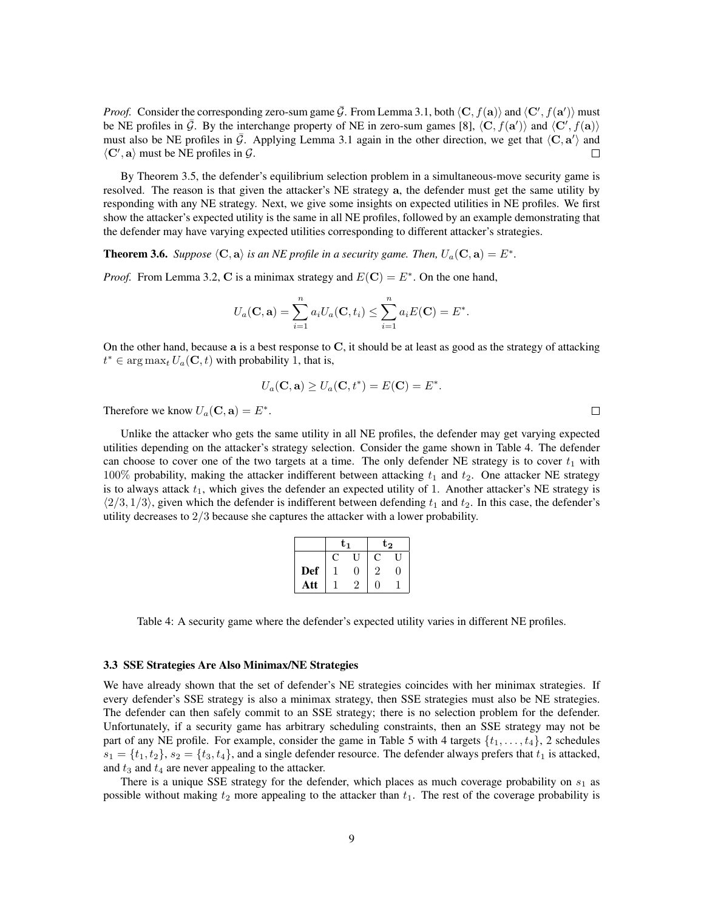*Proof.* Consider the corresponding zero-sum game  $\bar{G}$ . From Lemma 3.1, both  $\langle \mathbf{C}, f(\mathbf{a}) \rangle$  and  $\langle \mathbf{C}', f(\mathbf{a}') \rangle$  must be NE profiles in  $\bar{G}$ . By the interchange property of NE in zero-sum games [8],  $\langle \mathbf{C}, f(\mathbf{a}') \rangle$  and  $\langle \mathbf{C}', f(\mathbf{a}) \rangle$ must also be NE profiles in  $\bar{G}$ . Applying Lemma 3.1 again in the other direction, we get that  $\langle C, a' \rangle$  and  $\langle C', \mathbf{a} \rangle$  must be NE profiles in  $\mathcal{G}$ .  $\Box$ 

By Theorem 3.5, the defender's equilibrium selection problem in a simultaneous-move security game is resolved. The reason is that given the attacker's NE strategy a, the defender must get the same utility by responding with any NE strategy. Next, we give some insights on expected utilities in NE profiles. We first show the attacker's expected utility is the same in all NE profiles, followed by an example demonstrating that the defender may have varying expected utilities corresponding to different attacker's strategies.

**Theorem 3.6.** Suppose  $\langle \mathbf{C}, \mathbf{a} \rangle$  is an NE profile in a security game. Then,  $U_a(\mathbf{C}, \mathbf{a}) = E^*$ .

*Proof.* From Lemma 3.2, C is a minimax strategy and  $E(C) = E^*$ . On the one hand,

$$
U_a(\mathbf{C}, \mathbf{a}) = \sum_{i=1}^n a_i U_a(\mathbf{C}, t_i) \le \sum_{i=1}^n a_i E(\mathbf{C}) = E^*.
$$

On the other hand, because a is a best response to C, it should be at least as good as the strategy of attacking  $t^* \in \arg \max_t U_a(\mathbf{C}, t)$  with probability 1, that is,

$$
U_a(\mathbf{C}, \mathbf{a}) \ge U_a(\mathbf{C}, t^*) = E(\mathbf{C}) = E^*.
$$

Therefore we know  $U_a(C, \mathbf{a}) = E^*$ .

Unlike the attacker who gets the same utility in all NE profiles, the defender may get varying expected utilities depending on the attacker's strategy selection. Consider the game shown in Table 4. The defender can choose to cover one of the two targets at a time. The only defender NE strategy is to cover  $t_1$  with 100% probability, making the attacker indifferent between attacking  $t_1$  and  $t_2$ . One attacker NE strategy is to always attack  $t_1$ , which gives the defender an expected utility of 1. Another attacker's NE strategy is  $\langle 2/3, 1/3 \rangle$ , given which the defender is indifferent between defending  $t_1$  and  $t_2$ . In this case, the defender's utility decreases to  $2/3$  because she captures the attacker with a lower probability.

|     | ${\bf t_1}$  |    | $t_{2}$ |   |  |
|-----|--------------|----|---------|---|--|
|     | $\mathbb{C}$ |    | C       | ш |  |
| Def |              | ┚  | 2       |   |  |
| Att |              | ٠, | 0       |   |  |

Table 4: A security game where the defender's expected utility varies in different NE profiles.

#### 3.3 SSE Strategies Are Also Minimax/NE Strategies

We have already shown that the set of defender's NE strategies coincides with her minimax strategies. If every defender's SSE strategy is also a minimax strategy, then SSE strategies must also be NE strategies. The defender can then safely commit to an SSE strategy; there is no selection problem for the defender. Unfortunately, if a security game has arbitrary scheduling constraints, then an SSE strategy may not be part of any NE profile. For example, consider the game in Table 5 with 4 targets  $\{t_1, \ldots, t_4\}$ , 2 schedules  $s_1 = \{t_1, t_2\}, s_2 = \{t_3, t_4\}$ , and a single defender resource. The defender always prefers that  $t_1$  is attacked, and  $t_3$  and  $t_4$  are never appealing to the attacker.

There is a unique SSE strategy for the defender, which places as much coverage probability on  $s<sub>1</sub>$  as possible without making  $t_2$  more appealing to the attacker than  $t_1$ . The rest of the coverage probability is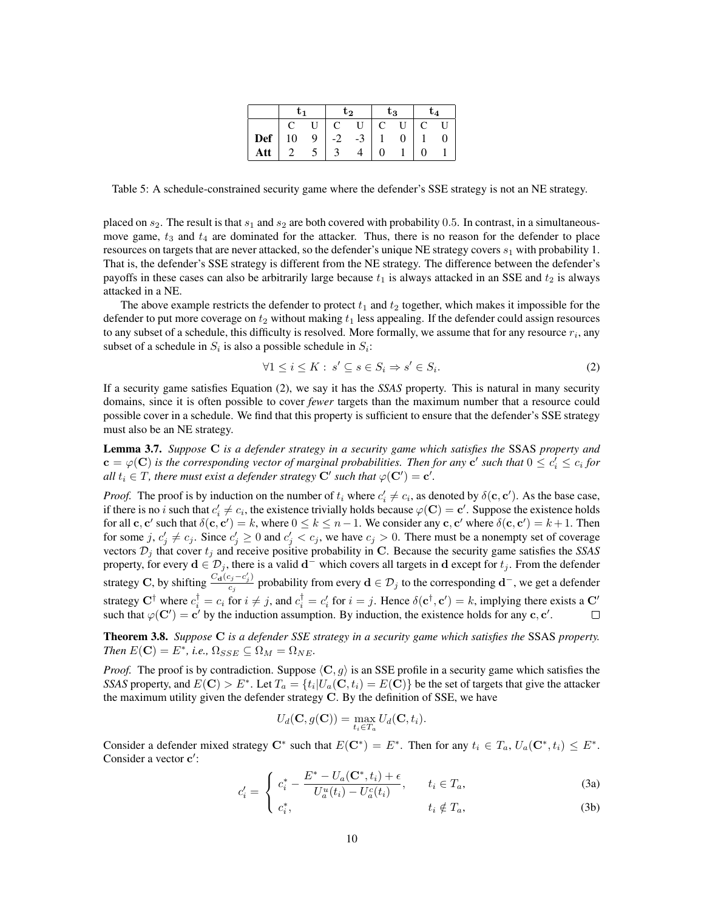|     | tı |   | t2 |      | $\mathrm{t}_3$ |   | $\mathbf{L}_{\mathbf{\Delta}}$ |
|-----|----|---|----|------|----------------|---|--------------------------------|
|     |    |   |    |      | U              | C |                                |
| Def | 10 | 9 |    | $-3$ | 0              |   |                                |
| Att |    |   |    |      |                |   |                                |

Table 5: A schedule-constrained security game where the defender's SSE strategy is not an NE strategy.

placed on  $s_2$ . The result is that  $s_1$  and  $s_2$  are both covered with probability 0.5. In contrast, in a simultaneousmove game,  $t_3$  and  $t_4$  are dominated for the attacker. Thus, there is no reason for the defender to place resources on targets that are never attacked, so the defender's unique NE strategy covers  $s_1$  with probability 1. That is, the defender's SSE strategy is different from the NE strategy. The difference between the defender's payoffs in these cases can also be arbitrarily large because  $t_1$  is always attacked in an SSE and  $t_2$  is always attacked in a NE.

The above example restricts the defender to protect  $t_1$  and  $t_2$  together, which makes it impossible for the defender to put more coverage on  $t_2$  without making  $t_1$  less appealing. If the defender could assign resources to any subset of a schedule, this difficulty is resolved. More formally, we assume that for any resource  $r_i$ , any subset of a schedule in  $S_i$  is also a possible schedule in  $S_i$ :

$$
\forall 1 \le i \le K : s' \subseteq s \in S_i \Rightarrow s' \in S_i. \tag{2}
$$

If a security game satisfies Equation (2), we say it has the *SSAS* property. This is natural in many security domains, since it is often possible to cover *fewer* targets than the maximum number that a resource could possible cover in a schedule. We find that this property is sufficient to ensure that the defender's SSE strategy must also be an NE strategy.

Lemma 3.7. *Suppose* C *is a defender strategy in a security game which satisfies the* SSAS *property and*  $\mathbf{c} = \varphi(\mathbf{C})$  is the corresponding vector of marginal probabilities. Then for any  $\mathbf{c}'$  such that  $0 \leq c'_i \leq c_i$  for *all*  $t_i \in T$ , there must exist a defender strategy  $\mathbf{C}'$  such that  $\varphi(\mathbf{C}') = \mathbf{c}'$ .

*Proof.* The proof is by induction on the number of  $t_i$  where  $c'_i \neq c_i$ , as denoted by  $\delta(\mathbf{c}, \mathbf{c}')$ . As the base case, if there is no i such that  $c'_i \neq c_i$ , the existence trivially holds because  $\varphi(\mathbf{C}) = \mathbf{c}'$ . Suppose the existence holds for all  $c, c'$  such that  $\delta(c, c') = k$ , where  $0 \le k \le n - 1$ . We consider any  $c, c'$  where  $\delta(c, c') = k + 1$ . Then for some  $j, c'_j \neq c_j$ . Since  $c'_j \geq 0$  and  $c'_j < c_j$ , we have  $c_j > 0$ . There must be a nonempty set of coverage vectors  $\mathcal{D}_i$  that cover  $t_i$  and receive positive probability in C. Because the security game satisfies the *SSAS* property, for every  $\mathbf{d} \in \mathcal{D}_j$ , there is a valid  $\mathbf{d}^-$  which covers all targets in  $\mathbf{d}$  except for  $t_j$ . From the defender strategy C, by shifting  $\frac{C_{\mathbf{d}}(c_j - c'_j)}{c}$  $\frac{c_j - c_j}{c_j}$  probability from every  $\mathbf{d} \in \mathcal{D}_j$  to the corresponding  $\mathbf{d}^-$ , we get a defender strategy  $C^{\dagger}$  where  $c_i^{\dagger} = c_i$  for  $i \neq j$ , and  $c_i^{\dagger} = c_i'$  for  $i = j$ . Hence  $\delta(c^{\dagger}, c') = k$ , implying there exists a  $C'$ such that  $\varphi(\mathbf{C}') = \mathbf{c}'$  by the induction assumption. By induction, the existence holds for any  $\mathbf{c}, \mathbf{c}'$ .  $\Box$ 

Theorem 3.8. *Suppose* C *is a defender SSE strategy in a security game which satisfies the* SSAS *property. Then*  $E(\mathbf{C}) = E^*$ , *i.e.*,  $\Omega_{SSE} \subseteq \Omega_M = \Omega_{NE}$ .

*Proof.* The proof is by contradiction. Suppose  $\langle C, g \rangle$  is an SSE profile in a security game which satisfies the *SSAS* property, and  $E(\mathbf{C}) > E^*$ . Let  $T_a = \{t_i | U_a(\mathbf{C}, t_i) = E(\mathbf{C})\}$  be the set of targets that give the attacker the maximum utility given the defender strategy  $C$ . By the definition of SSE, we have

$$
U_d(\mathbf{C}, g(\mathbf{C})) = \max_{t_i \in T_a} U_d(\mathbf{C}, t_i).
$$

Consider a defender mixed strategy  $C^*$  such that  $E(C^*) = E^*$ . Then for any  $t_i \in T_a$ ,  $U_a(C^*, t_i) \leq E^*$ . Consider a vector c':

$$
c'_{i} = \begin{cases} c_{i}^{*} - \frac{E^{*} - U_{a}(\mathbf{C}^{*}, t_{i}) + \epsilon}{U_{a}^{u}(t_{i}) - U_{a}^{c}(t_{i})}, & t_{i} \in T_{a}, \end{cases}
$$
(3a)

$$
\begin{cases} c_i^*, & \text{if } i \in T_a, \\ \end{cases} \tag{3b}
$$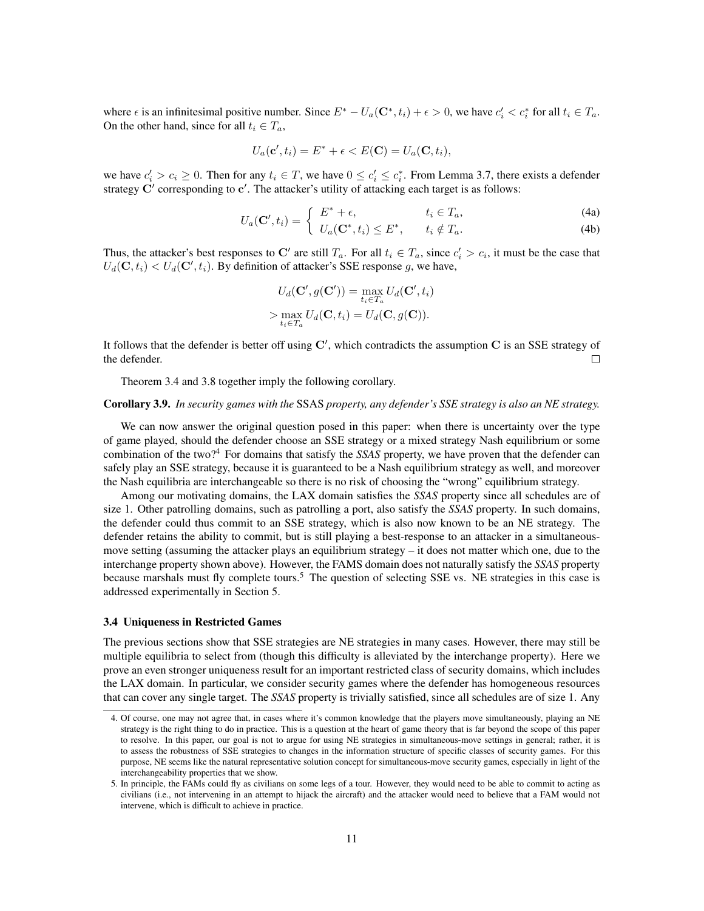where  $\epsilon$  is an infinitesimal positive number. Since  $E^* - U_a(\mathbf{C}^*, t_i) + \epsilon > 0$ , we have  $c_i' < c_i^*$  for all  $t_i \in T_a$ . On the other hand, since for all  $t_i \in T_a$ ,

$$
U_a(\mathbf{c}', t_i) = E^* + \epsilon < E(\mathbf{C}) = U_a(\mathbf{C}, t_i),
$$

we have  $c'_i > c_i \ge 0$ . Then for any  $t_i \in T$ , we have  $0 \le c'_i \le c_i^*$ . From Lemma 3.7, there exists a defender strategy  $\mathbf{C}'$  corresponding to  $\mathbf{c}'$ . The attacker's utility of attacking each target is as follows:

$$
U_a(\mathbf{C}', t_i) = \begin{cases} E^* + \epsilon, & t_i \in T_a, \\ U_a(\mathbf{C}^*, t_i) \le E^*, & t_i \notin T_a. \end{cases}
$$
 (4a)

Thus, the attacker's best responses to C' are still  $T_a$ . For all  $t_i \in T_a$ , since  $c'_i > c_i$ , it must be the case that  $U_d(\mathbf{C}, t_i) < U_d(\mathbf{C}', t_i)$ . By definition of attacker's SSE response g, we have,

$$
U_d(\mathbf{C}', g(\mathbf{C}')) = \max_{t_i \in T_a} U_d(\mathbf{C}', t_i)
$$

$$
> \max_{t_i \in T_a} U_d(\mathbf{C}, t_i) = U_d(\mathbf{C}, g(\mathbf{C})).
$$

It follows that the defender is better off using  $\mathbf{C}'$ , which contradicts the assumption  $\mathbf{C}$  is an SSE strategy of  $\Box$ the defender.

Theorem 3.4 and 3.8 together imply the following corollary.

#### Corollary 3.9. *In security games with the* SSAS *property, any defender's SSE strategy is also an NE strategy.*

We can now answer the original question posed in this paper: when there is uncertainty over the type of game played, should the defender choose an SSE strategy or a mixed strategy Nash equilibrium or some combination of the two?<sup>4</sup> For domains that satisfy the *SSAS* property, we have proven that the defender can safely play an SSE strategy, because it is guaranteed to be a Nash equilibrium strategy as well, and moreover the Nash equilibria are interchangeable so there is no risk of choosing the "wrong" equilibrium strategy.

Among our motivating domains, the LAX domain satisfies the *SSAS* property since all schedules are of size 1. Other patrolling domains, such as patrolling a port, also satisfy the *SSAS* property. In such domains, the defender could thus commit to an SSE strategy, which is also now known to be an NE strategy. The defender retains the ability to commit, but is still playing a best-response to an attacker in a simultaneousmove setting (assuming the attacker plays an equilibrium strategy – it does not matter which one, due to the interchange property shown above). However, the FAMS domain does not naturally satisfy the *SSAS* property because marshals must fly complete tours.<sup>5</sup> The question of selecting SSE vs. NE strategies in this case is addressed experimentally in Section 5.

#### 3.4 Uniqueness in Restricted Games

The previous sections show that SSE strategies are NE strategies in many cases. However, there may still be multiple equilibria to select from (though this difficulty is alleviated by the interchange property). Here we prove an even stronger uniqueness result for an important restricted class of security domains, which includes the LAX domain. In particular, we consider security games where the defender has homogeneous resources that can cover any single target. The *SSAS* property is trivially satisfied, since all schedules are of size 1. Any

<sup>4.</sup> Of course, one may not agree that, in cases where it's common knowledge that the players move simultaneously, playing an NE strategy is the right thing to do in practice. This is a question at the heart of game theory that is far beyond the scope of this paper to resolve. In this paper, our goal is not to argue for using NE strategies in simultaneous-move settings in general; rather, it is to assess the robustness of SSE strategies to changes in the information structure of specific classes of security games. For this purpose, NE seems like the natural representative solution concept for simultaneous-move security games, especially in light of the interchangeability properties that we show.

<sup>5.</sup> In principle, the FAMs could fly as civilians on some legs of a tour. However, they would need to be able to commit to acting as civilians (i.e., not intervening in an attempt to hijack the aircraft) and the attacker would need to believe that a FAM would not intervene, which is difficult to achieve in practice.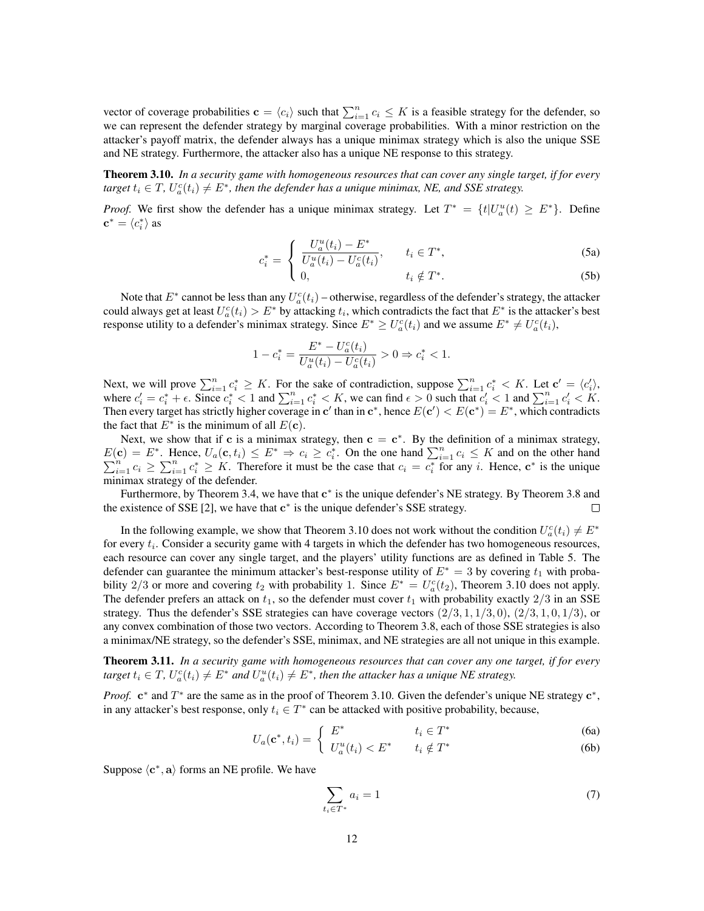vector of coverage probabilities  $\mathbf{c} = \langle c_i \rangle$  such that  $\sum_{i=1}^n c_i \leq K$  is a feasible strategy for the defender, so we can represent the defender strategy by marginal coverage probabilities. With a minor restriction on the attacker's payoff matrix, the defender always has a unique minimax strategy which is also the unique SSE and NE strategy. Furthermore, the attacker also has a unique NE response to this strategy.

Theorem 3.10. *In a security game with homogeneous resources that can cover any single target, if for every*  $t_i \in T$ ,  $U_a^c(t_i) \neq E^*$ , then the defender has a unique minimax, NE, and SSE strategy.

*Proof.* We first show the defender has a unique minimax strategy. Let  $T^* = \{t | U_a^u(t) \ge E^* \}$ . Define  $\mathbf{c}^* = \langle c_i^* \rangle$  as

$$
c_i^* = \begin{cases} \frac{U_a^u(t_i) - E^*}{U_a^u(t_i) - U_a^c(t_i)}, & t_i \in T^*, \end{cases}
$$
 (5a)

$$
\begin{array}{ll}\n\text{I} & 0, \\
\text{I} & \text{I} \notin T^*.\n\end{array} \tag{5b}
$$

Note that  $E^*$  cannot be less than any  $U_a^c(t_i)$  – otherwise, regardless of the defender's strategy, the attacker could always get at least  $U_a^c(t_i) > E^*$  by attacking  $t_i$ , which contradicts the fact that  $E^*$  is the attacker's best response utility to a defender's minimax strategy. Since  $E^* \ge U_a^c(t_i)$  and we assume  $E^* \ne U_a^c(t_i)$ ,

$$
1 - c_i^* = \frac{E^* - U_a^c(t_i)}{U_a^u(t_i) - U_a^c(t_i)} > 0 \Rightarrow c_i^* < 1.
$$

Next, we will prove  $\sum_{i=1}^{n} c_i^* \geq K$ . For the sake of contradiction, suppose  $\sum_{i=1}^{n} c_i^* < K$ . Let  $\mathbf{c}' = \langle c_i' \rangle$ , where  $c_i' = c_i^* + \epsilon$ . Since  $c_i^* < 1$  and  $\sum_{i=1}^n c_i^* < K$ , we can find  $\epsilon > 0$  such that  $c_i' < 1$  and  $\sum_{i=1}^n c_i' < K$ . Then every target has strictly higher coverage in c' than in c<sup>\*</sup>, hence  $E(c') < E(c^*) = E^*$ , which contradicts the fact that  $E^*$  is the minimum of all  $E(\mathbf{c})$ .

Next, we show that if c is a minimax strategy, then  $c = c^*$ . By the definition of a minimax strategy,  $E(\mathbf{c}) = E^*$ . Hence,  $U_a(\mathbf{c}, t_i) \leq E^* \Rightarrow c_i \geq c_i^*$ . On the one hand  $\sum_{i=1}^n c_i \geq \sum_{i=1}^n c_i^* \geq K$ . Therefore it must be the case that  $c_i = c_i^*$  for  $\langle \mathbf{c} \rangle = E^*$ . Hence,  $U_a(\mathbf{c}, t_i) \le E^* \Rightarrow c_i \ge c_i^*$ . On the one hand  $\sum_{i=1}^n c_i \le K$  and on the other hand  $\sum_{i=1}^n c_i \ge \sum_{i=1}^n c_i^* \ge K$ . Therefore it must be the case that  $c_i = c_i^*$  for any *i*. Hence,  $\mathbf{c}^*$  is minimax strategy of the defender.

Furthermore, by Theorem 3.4, we have that  $c^*$  is the unique defender's NE strategy. By Theorem 3.8 and the existence of SSE [2], we have that  $c^*$  is the unique defender's SSE strategy.  $\Box$ 

In the following example, we show that Theorem 3.10 does not work without the condition  $U_a^c(t_i) \neq E^*$ for every  $t_i$ . Consider a security game with 4 targets in which the defender has two homogeneous resources, each resource can cover any single target, and the players' utility functions are as defined in Table 5. The defender can guarantee the minimum attacker's best-response utility of  $E^* = 3$  by covering  $t_1$  with probability 2/3 or more and covering  $t_2$  with probability 1. Since  $E^* = U_a^c(t_2)$ , Theorem 3.10 does not apply. The defender prefers an attack on  $t_1$ , so the defender must cover  $t_1$  with probability exactly  $2/3$  in an SSE strategy. Thus the defender's SSE strategies can have coverage vectors  $(2/3, 1, 1/3, 0)$ ,  $(2/3, 1, 0, 1/3)$ , or any convex combination of those two vectors. According to Theorem 3.8, each of those SSE strategies is also a minimax/NE strategy, so the defender's SSE, minimax, and NE strategies are all not unique in this example.

Theorem 3.11. *In a security game with homogeneous resources that can cover any one target, if for every*  $t_i \in T$ ,  $U_a^c(t_i) \neq E^*$  and  $U_a^u(t_i) \neq E^*$ , then the attacker has a unique NE strategy.

*Proof.*  $c^*$  and  $T^*$  are the same as in the proof of Theorem 3.10. Given the defender's unique NE strategy  $c^*$ , in any attacker's best response, only  $t_i \in T^*$  can be attacked with positive probability, because,

$$
U_a(\mathbf{c}^*, t_i) = \begin{cases} E^* & t_i \in T^* \\ U_a^u(t_i) < E^* \end{cases} \qquad \begin{array}{c} t_i \in T^* \\ t_i \notin T^* \end{array} \tag{6a}
$$

 $U_a^u(t_i) < E^*$   $t_i \notin T$ 

Suppose  $\langle c^*, a \rangle$  forms an NE profile. We have

$$
\sum_{t_i \in T^*} a_i = 1 \tag{7}
$$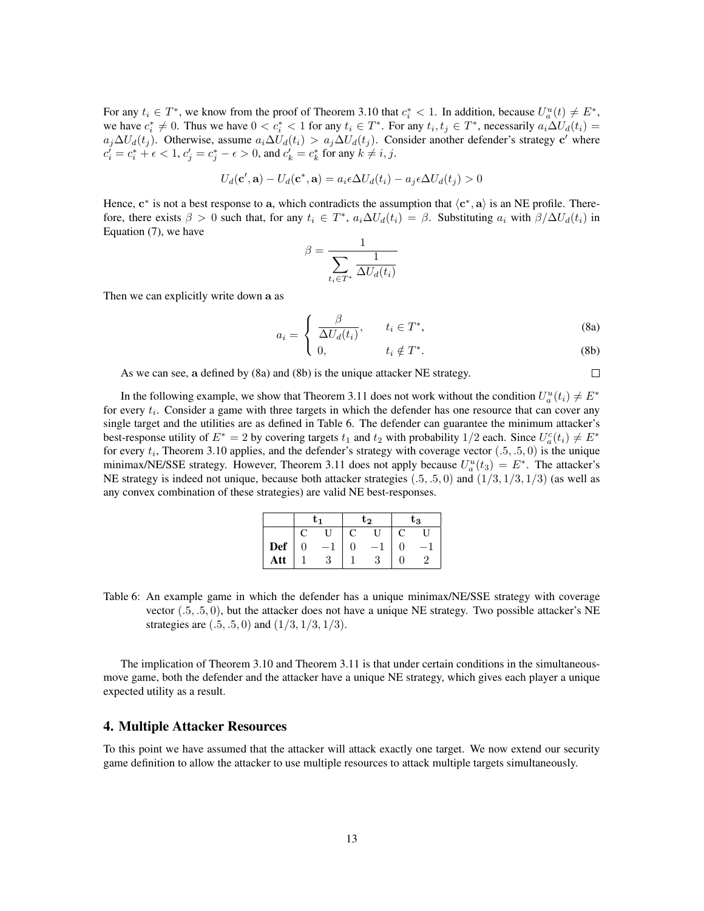For any  $t_i \in T^*$ , we know from the proof of Theorem 3.10 that  $c_i^* < 1$ . In addition, because  $U_a^u(t) \neq E^*$ , we have  $c_i^* \neq 0$ . Thus we have  $0 < c_i^* < 1$  for any  $t_i \in T^*$ . For any  $t_i, t_j \in T^*$ , necessarily  $a_i \Delta U_d(t_i) =$  $a_j\Delta U_d(t_j)$ . Otherwise, assume  $a_i\Delta U_d(t_i) > a_j\Delta U_d(t_j)$ . Consider another defender's strategy c' where  $c_i^j = c_i^* + \epsilon < 1, c_j^{\prime} = c_j^* - \epsilon > 0$ , and  $c_k^{\prime} = c_k^*$  for any  $k \neq i, j$ .

$$
U_d(\mathbf{c}', \mathbf{a}) - U_d(\mathbf{c}^*, \mathbf{a}) = a_i \epsilon \Delta U_d(t_i) - a_j \epsilon \Delta U_d(t_j) > 0
$$

Hence,  $c^*$  is not a best response to a, which contradicts the assumption that  $\langle c^*, a \rangle$  is an NE profile. Therefore, there exists  $\beta > 0$  such that, for any  $t_i \in T^*$ ,  $a_i \Delta U_d(t_i) = \beta$ . Substituting  $a_i$  with  $\beta/\Delta U_d(t_i)$  in Equation (7), we have

$$
\beta = \frac{1}{\sum_{t_i \in T^*} \frac{1}{\Delta U_d(t_i)}}
$$

Then we can explicitly write down a as

$$
a_i = \begin{cases} \frac{\beta}{\Delta U_d(t_i)}, & t_i \in T^*, \end{cases}
$$
 (8a)

$$
\bigcup \ 0, \qquad \qquad t_i \notin T^*.
$$

 $\Box$ 

As we can see, a defined by (8a) and (8b) is the unique attacker NE strategy.

In the following example, we show that Theorem 3.11 does not work without the condition  $U_a^u(t_i) \neq E^*$ for every  $t_i$ . Consider a game with three targets in which the defender has one resource that can cover any single target and the utilities are as defined in Table 6. The defender can guarantee the minimum attacker's best-response utility of  $E^* = 2$  by covering targets  $t_1$  and  $t_2$  with probability  $1/2$  each. Since  $U_a^c(t_i) \neq E^*$ for every  $t_i$ , Theorem 3.10 applies, and the defender's strategy with coverage vector  $(.5, .5, 0)$  is the unique minimax/NE/SSE strategy. However, Theorem 3.11 does not apply because  $U_a^u(t_3) = E^*$ . The attacker's NE strategy is indeed not unique, because both attacker strategies  $(.5, .5, 0)$  and  $(1/3, 1/3, 1/3)$  (as well as any convex combination of these strategies) are valid NE best-responses.

|              | t1 |    | $\mathrm{t}_2$ |  | $\mathrm{t}_3$ |  |
|--------------|----|----|----------------|--|----------------|--|
|              |    | ſT |                |  |                |  |
| Def          | U  |    |                |  |                |  |
| $\mathbf{t}$ |    |    | ŧ.             |  |                |  |

Table 6: An example game in which the defender has a unique minimax/NE/SSE strategy with coverage vector (.5, .5, 0), but the attacker does not have a unique NE strategy. Two possible attacker's NE strategies are  $(.5, .5, 0)$  and  $(1/3, 1/3, 1/3)$ .

The implication of Theorem 3.10 and Theorem 3.11 is that under certain conditions in the simultaneousmove game, both the defender and the attacker have a unique NE strategy, which gives each player a unique expected utility as a result.

# 4. Multiple Attacker Resources

To this point we have assumed that the attacker will attack exactly one target. We now extend our security game definition to allow the attacker to use multiple resources to attack multiple targets simultaneously.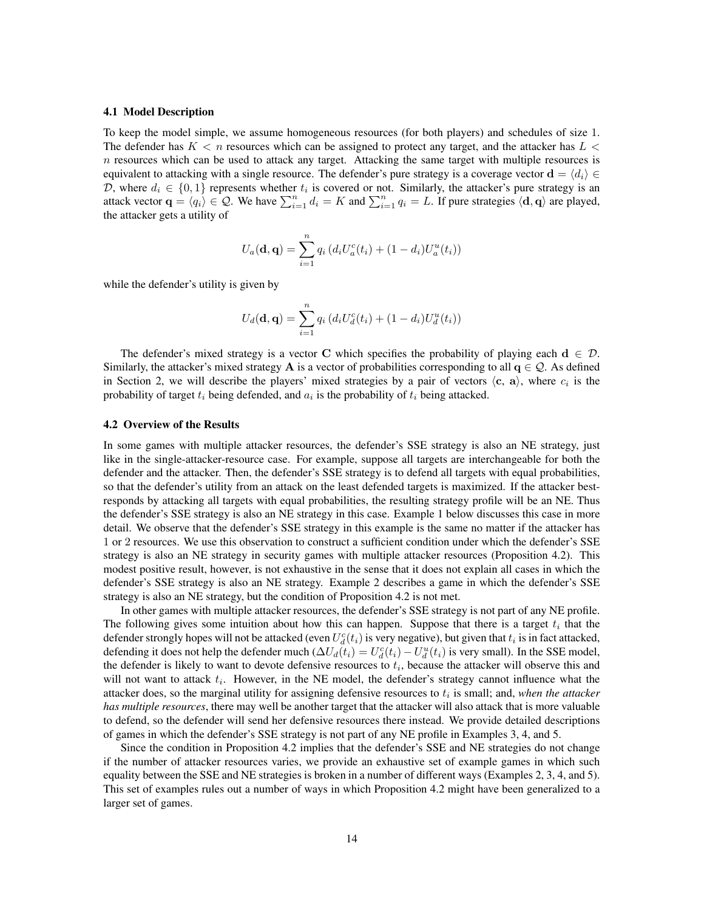#### 4.1 Model Description

To keep the model simple, we assume homogeneous resources (for both players) and schedules of size 1. The defender has  $K < n$  resources which can be assigned to protect any target, and the attacker has  $L <$  $n$  resources which can be used to attack any target. Attacking the same target with multiple resources is equivalent to attacking with a single resource. The defender's pure strategy is a coverage vector  $\mathbf{d} = \langle d_i \rangle \in$ D, where  $d_i \in \{0,1\}$  represents whether  $t_i$  is covered or not. Similarly, the attacker's pure strategy is an attack vector  $\mathbf{q} = \langle q_i \rangle \in \mathcal{Q}$ . We have  $\sum_{i=1}^n d_i = K$  and  $\sum_{i=1}^n q_i = L$ . If pure strategies  $\langle \mathbf{d}, \mathbf{q} \rangle$  are played, the attacker gets a utility of

$$
U_a(\mathbf{d}, \mathbf{q}) = \sum_{i=1}^n q_i (d_i U_a^c(t_i) + (1 - d_i) U_a^u(t_i))
$$

while the defender's utility is given by

$$
U_d(\mathbf{d}, \mathbf{q}) = \sum_{i=1}^n q_i (d_i U_d^c(t_i) + (1 - d_i) U_d^u(t_i))
$$

The defender's mixed strategy is a vector C which specifies the probability of playing each  $d \in \mathcal{D}$ . Similarly, the attacker's mixed strategy A is a vector of probabilities corresponding to all  $q \in \mathcal{Q}$ . As defined in Section 2, we will describe the players' mixed strategies by a pair of vectors  $\langle c, a \rangle$ , where  $c_i$  is the probability of target  $t_i$  being defended, and  $a_i$  is the probability of  $t_i$  being attacked.

#### 4.2 Overview of the Results

In some games with multiple attacker resources, the defender's SSE strategy is also an NE strategy, just like in the single-attacker-resource case. For example, suppose all targets are interchangeable for both the defender and the attacker. Then, the defender's SSE strategy is to defend all targets with equal probabilities, so that the defender's utility from an attack on the least defended targets is maximized. If the attacker bestresponds by attacking all targets with equal probabilities, the resulting strategy profile will be an NE. Thus the defender's SSE strategy is also an NE strategy in this case. Example 1 below discusses this case in more detail. We observe that the defender's SSE strategy in this example is the same no matter if the attacker has 1 or 2 resources. We use this observation to construct a sufficient condition under which the defender's SSE strategy is also an NE strategy in security games with multiple attacker resources (Proposition 4.2). This modest positive result, however, is not exhaustive in the sense that it does not explain all cases in which the defender's SSE strategy is also an NE strategy. Example 2 describes a game in which the defender's SSE strategy is also an NE strategy, but the condition of Proposition 4.2 is not met.

In other games with multiple attacker resources, the defender's SSE strategy is not part of any NE profile. The following gives some intuition about how this can happen. Suppose that there is a target  $t_i$  that the defender strongly hopes will not be attacked (even  $U_d^c(t_i)$  is very negative), but given that  $t_i$  is in fact attacked, defending it does not help the defender much  $(\Delta U_d(t_i) = U_d^c(t_i) - U_d^u(t_i)$  is very small). In the SSE model, the defender is likely to want to devote defensive resources to  $t_i$ , because the attacker will observe this and will not want to attack  $t_i$ . However, in the NE model, the defender's strategy cannot influence what the attacker does, so the marginal utility for assigning defensive resources to  $t_i$  is small; and, *when the attacker has multiple resources*, there may well be another target that the attacker will also attack that is more valuable to defend, so the defender will send her defensive resources there instead. We provide detailed descriptions of games in which the defender's SSE strategy is not part of any NE profile in Examples 3, 4, and 5.

Since the condition in Proposition 4.2 implies that the defender's SSE and NE strategies do not change if the number of attacker resources varies, we provide an exhaustive set of example games in which such equality between the SSE and NE strategies is broken in a number of different ways (Examples 2, 3, 4, and 5). This set of examples rules out a number of ways in which Proposition 4.2 might have been generalized to a larger set of games.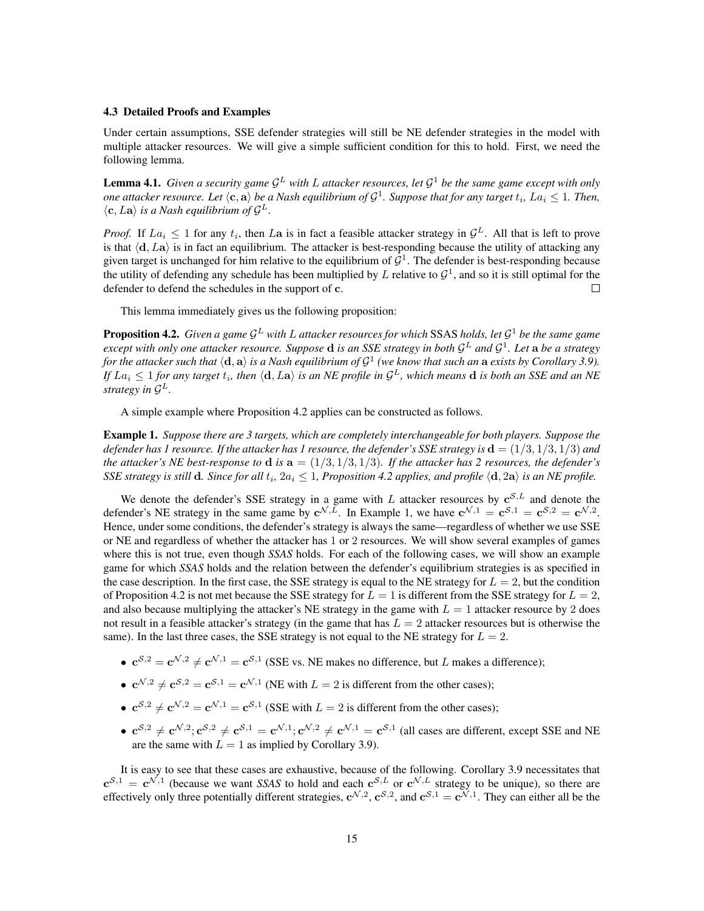#### 4.3 Detailed Proofs and Examples

Under certain assumptions, SSE defender strategies will still be NE defender strategies in the model with multiple attacker resources. We will give a simple sufficient condition for this to hold. First, we need the following lemma.

**Lemma 4.1.** Given a security game  $\mathcal{G}^L$  with L attacker resources, let  $\mathcal{G}^1$  be the same game except with only one attacker resource. Let  $\langle {\bf c}, {\bf a} \rangle$  be a Nash equilibrium of  ${\cal G}^1$ . Suppose that for any target  $t_i$ ,  $La_i \leq 1$ . Then,  $\langle \mathbf{c}, L\mathbf{a} \rangle$  *is a Nash equilibrium of*  $\mathcal{G}^L$ .

*Proof.* If  $La_i \leq 1$  for any  $t_i$ , then La is in fact a feasible attacker strategy in  $\mathcal{G}^L$ . All that is left to prove is that  $\langle d, La \rangle$  is in fact an equilibrium. The attacker is best-responding because the utility of attacking any given target is unchanged for him relative to the equilibrium of  $\mathcal{G}^1$ . The defender is best-responding because the utility of defending any schedule has been multiplied by L relative to  $\mathcal{G}^1$ , and so it is still optimal for the defender to defend the schedules in the support of c.  $\Box$ 

This lemma immediately gives us the following proposition:

Proposition 4.2. *Given a game* G <sup>L</sup> *with* L *attacker resources for which* SSAS *holds, let* G <sup>1</sup> *be the same game except with only one attacker resource. Suppose* d *is an SSE strategy in both* G <sup>L</sup> *and* G 1 *. Let* a *be a strategy* for the attacker such that  $\langle \rm{d}, a \rangle$  is a Nash equilibrium of  $\mathcal{G}^1$  (we know that such an  $\rm{a}$  exists by Corollary 3.9). If  $La_i\leq 1$  for any target  $t_i$ , then  $\langle {\bf d}, L{\bf a}\rangle$  is an NE profile in  ${\cal G}^L$ , which means  ${\bf d}$  is both an SSE and an NE *strategy in* G L*.*

A simple example where Proposition 4.2 applies can be constructed as follows.

Example 1. *Suppose there are 3 targets, which are completely interchangeable for both players. Suppose the defender has 1 resource. If the attacker has 1 resource, the defender's SSE strategy is* d = (1/3, 1/3, 1/3) *and the attacker's NE best-response to*  $d$  *is*  $a = (1/3, 1/3, 1/3)$ *. If the attacker has 2 resources, the defender's SSE strategy is still d. Since for all*  $t_i$ ,  $2a_i \leq 1$ , Proposition 4.2 applies, and profile  $\langle d, 2a \rangle$  is an NE profile.

We denote the defender's SSE strategy in a game with L attacker resources by  $c^{S,L}$  and denote the defender's NE strategy in the same game by  $c^{\mathcal{N},L}$ . In Example 1, we have  $c^{\mathcal{N},1} = c^{\mathcal{S},1} = c^{\mathcal{S},2} = c^{\mathcal{N},2}$ . Hence, under some conditions, the defender's strategy is always the same—regardless of whether we use SSE or NE and regardless of whether the attacker has 1 or 2 resources. We will show several examples of games where this is not true, even though *SSAS* holds. For each of the following cases, we will show an example game for which *SSAS* holds and the relation between the defender's equilibrium strategies is as specified in the case description. In the first case, the SSE strategy is equal to the NE strategy for  $L = 2$ , but the condition of Proposition 4.2 is not met because the SSE strategy for  $L = 1$  is different from the SSE strategy for  $L = 2$ , and also because multiplying the attacker's NE strategy in the game with  $L = 1$  attacker resource by 2 does not result in a feasible attacker's strategy (in the game that has  $L = 2$  attacker resources but is otherwise the same). In the last three cases, the SSE strategy is not equal to the NE strategy for  $L = 2$ .

- $\mathbf{c}^{\mathcal{S},2} = \mathbf{c}^{\mathcal{N},2} \neq \mathbf{c}^{\mathcal{N},1} = \mathbf{c}^{\mathcal{S},1}$  (SSE vs. NE makes no difference, but L makes a difference);
- $\mathbf{c}^{\mathcal{N},2} \neq \mathbf{c}^{\mathcal{S},2} = \mathbf{c}^{\mathcal{S},1} = \mathbf{c}^{\mathcal{N},1}$  (NE with  $L = 2$  is different from the other cases);
- $e^{S^2} \neq e^{N^2} = e^{N^2} = e^{S^2}$  (SSE with  $L = 2$  is different from the other cases);
- $e^{S,2} \neq e^{\mathcal{N},2}$ ;  $e^{S,2} \neq e^{S,1} = e^{\mathcal{N},1}$ ;  $e^{\mathcal{N},2} \neq e^{\mathcal{N},1} = e^{S,1}$  (all cases are different, except SSE and NE are the same with  $L = 1$  as implied by Corollary 3.9).

It is easy to see that these cases are exhaustive, because of the following. Corollary 3.9 necessitates that  $c^{S,1} = c^{\mathcal{N},1}$  (because we want *SSAS* to hold and each  $c^{S,L}$  or  $c^{\mathcal{N},L}$  strategy to be unique), so there are effectively only three potentially different strategies,  $c^{N,2}$ ,  $c^{S,2}$ , and  $c^{S,1} = c^{N,1}$ . They can either all be the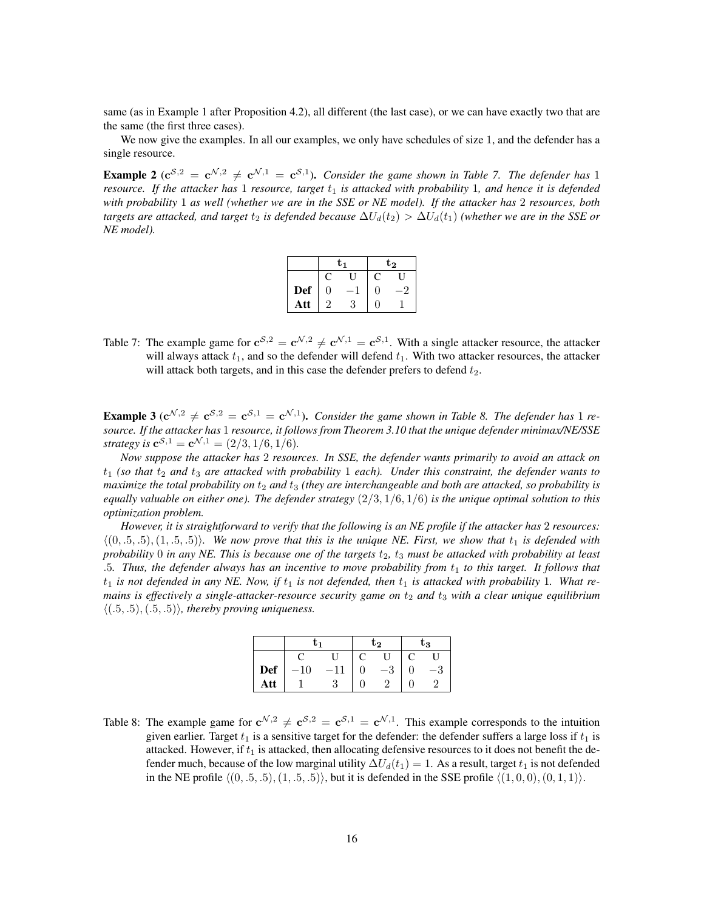same (as in Example 1 after Proposition 4.2), all different (the last case), or we can have exactly two that are the same (the first three cases).

We now give the examples. In all our examples, we only have schedules of size 1, and the defender has a single resource.

**Example 2** ( $c^{S,2} = c^{N,2} \neq c^{N,1} = c^{S,1}$ ). *Consider the game shown in Table 7. The defender has* 1 *resource. If the attacker has* 1 *resource, target*  $t_1$  *is attacked with probability* 1, and hence *it is defended with probability* 1 *as well (whether we are in the SSE or NE model). If the attacker has* 2 *resources, both targets are attacked, and target*  $t_2$  *is defended because*  $\Delta U_d(t_2) > \Delta U_d(t_1)$  *(whether we are in the SSE or NE model).*

|            |          | U1 | $\mathbf{t_{2}}$ |  |  |
|------------|----------|----|------------------|--|--|
|            |          |    | $\mathbf C$      |  |  |
| <b>Def</b> | $\Omega$ |    | $\Box$           |  |  |
| Att        | ച        |    | ſ                |  |  |

Table 7: The example game for  $c^{S,2} = c^{\mathcal{N},2} \neq c^{\mathcal{N},1} = c^{S,1}$ . With a single attacker resource, the attacker will always attack  $t_1$ , and so the defender will defend  $t_1$ . With two attacker resources, the attacker will attack both targets, and in this case the defender prefers to defend  $t_2$ .

**Example 3** ( $c^{N,2} \neq c^{S,2} = c^{S,1} = c^{N,1}$ ). *Consider the game shown in Table 8. The defender has* 1 *resource. If the attacker has* 1 *resource, it follows from Theorem 3.10 that the unique defender minimax/NE/SSE strategy is*  $c^{S,1} = c^{\mathcal{N},1} = (2/3, 1/6, 1/6)$ *.* 

*Now suppose the attacker has* 2 *resources. In SSE, the defender wants primarily to avoid an attack on*  $t_1$  (so that  $t_2$  and  $t_3$  are attacked with probability 1 each). Under this constraint, the defender wants to *maximize the total probability on*  $t_2$  *and*  $t_3$  *(they are interchangeable and both are attacked, so probability is equally valuable on either one). The defender strategy* (2/3, 1/6, 1/6) *is the unique optimal solution to this optimization problem.*

*However, it is straightforward to verify that the following is an NE profile if the attacker has* 2 *resources:*  $\langle (0, .5, .5), (1, .5, .5) \rangle$ *. We now prove that this is the unique NE. First, we show that*  $t_1$  *is defended with probability* 0 *in any NE. This is because one of the targets*  $t_2$ ,  $t_3$  *must be attacked with probability at least* .5*. Thus, the defender always has an incentive to move probability from* t<sup>1</sup> *to this target. It follows that*  $t_1$  *is not defended in any NE. Now, if*  $t_1$  *is not defended, then*  $t_1$  *is attacked with probability* 1*. What remains is effectively a single-attacker-resource security game on*  $t_2$  *and*  $t_3$  *with a clear unique equilibrium*  $\langle (.5, .5), (.5, .5) \rangle$ *, thereby proving uniqueness.* 

|     | ι. |  | t გ |         | tз |     |
|-----|----|--|-----|---------|----|-----|
|     |    |  |     |         |    |     |
| Def | 10 |  |     | 9<br>—ა |    | −υ. |
| Att |    |  |     |         |    |     |

Table 8: The example game for  $c^{\mathcal{N},2} \neq c^{\mathcal{S},2} = c^{\mathcal{S},1} = c^{\mathcal{N},1}$ . This example corresponds to the intuition given earlier. Target  $t_1$  is a sensitive target for the defender: the defender suffers a large loss if  $t_1$  is attacked. However, if  $t_1$  is attacked, then allocating defensive resources to it does not benefit the defender much, because of the low marginal utility  $\Delta U_d(t_1) = 1$ . As a result, target  $t_1$  is not defended in the NE profile  $\langle (0, .5, .5), (1, .5, .5) \rangle$ , but it is defended in the SSE profile  $\langle (1, 0, 0), (0, 1, 1) \rangle$ .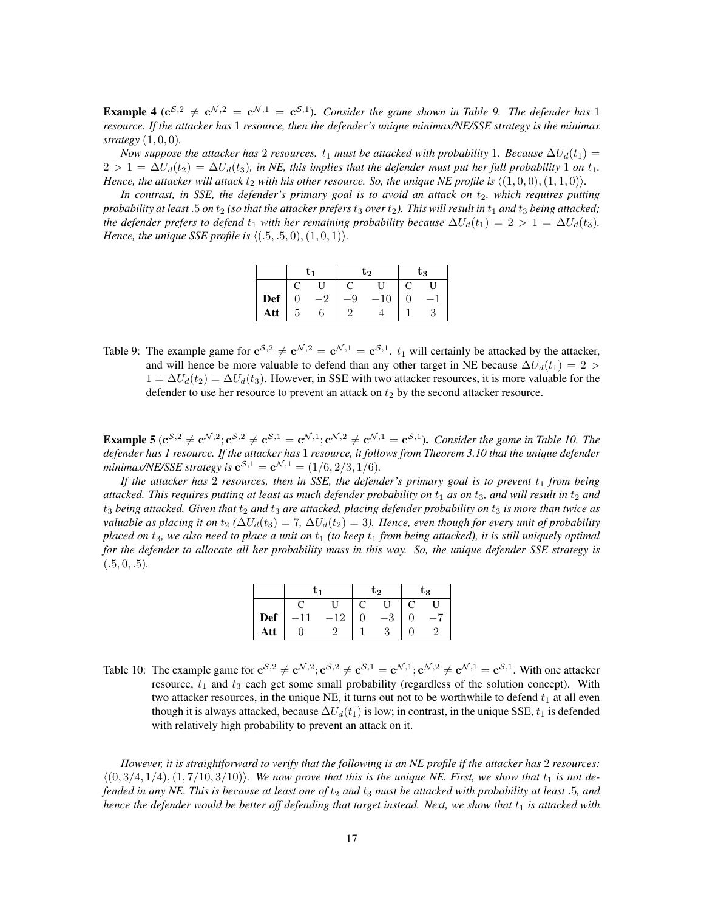**Example 4** ( $c^{S,2} \neq c^{N,2} = c^{N,1} = c^{S,1}$ ). *Consider the game shown in Table 9. The defender has* 1 *resource. If the attacker has* 1 *resource, then the defender's unique minimax/NE/SSE strategy is the minimax strategy* (1, 0, 0)*.*

*Now suppose the attacker has* 2 *resources.*  $t_1$  *must be attacked with probability* 1*. Because*  $\Delta U_d(t_1)$  =  $2 > 1 = \Delta U_d(t_2) = \Delta U_d(t_3)$ , in NE, this implies that the defender must put her full probability 1 on  $t_1$ . *Hence, the attacker will attack*  $t_2$  *with his other resource. So, the unique NE profile is*  $\langle (1, 0, 0), (1, 1, 0) \rangle$ *.* 

*In contrast, in SSE, the defender's primary goal is to avoid an attack on*  $t_2$ *, which requires putting probability at least* .5 *on*  $t_2$  *(so that the attacker prefers*  $t_3$  *over*  $t_2$ *). This will result in*  $t_1$  *and*  $t_3$  *being attacked; the defender prefers to defend*  $t_1$  *with her remaining probability because*  $\Delta U_d(t_1) = 2 > 1 = \Delta U_d(t_3)$ *. Hence, the unique SSE profile is*  $\langle (.5, .5, 0), (1, 0, 1) \rangle$ *.* 

|            | tı |   | t2 |    | $\mathrm{t}_3$ |  |
|------------|----|---|----|----|----------------|--|
|            |    |   |    |    |                |  |
| <b>Def</b> |    |   | 9  | 10 |                |  |
| Att        | h  | 6 |    |    |                |  |

Table 9: The example game for  $\mathbf{c}^{S,2} \neq \mathbf{c}^{\mathcal{N},2} = \mathbf{c}^{\mathcal{N},1} = \mathbf{c}^{S,1}$ .  $t_1$  will certainly be attacked by the attacker, and will hence be more valuable to defend than any other target in NE because  $\Delta U_d(t_1) = 2 >$  $1 = \Delta U_d(t_2) = \Delta U_d(t_3)$ . However, in SSE with two attacker resources, it is more valuable for the defender to use her resource to prevent an attack on  $t_2$  by the second attacker resource.

**Example 5** ( $c^{S,2} \neq c^{N,2}$ ;  $c^{S,2} \neq c^{S,1} = c^{N,1}$ ;  $c^{N,2} \neq c^{N,1} = c^{S,1}$ ). *Consider the game in Table 10. The defender has 1 resource. If the attacker has* 1 *resource, it follows from Theorem 3.10 that the unique defender minimax/NE/SSE strategy is*  $c^{S,1} = c^{\mathcal{N},1} = (1/6, 2/3, 1/6)$ *.* 

*If the attacker has* 2 *resources, then in SSE, the defender's primary goal is to prevent*  $t_1$  *from being attacked. This requires putting at least as much defender probability on*  $t_1$  *as on*  $t_3$ *, and will result in*  $t_2$  *and*  $t_3$  *being attacked. Given that*  $t_2$  *and*  $t_3$  *are attacked, placing defender probability on*  $t_3$  *is more than twice as valuable as placing it on*  $t_2$  ( $\Delta U_d(t_3) = 7$ ,  $\Delta U_d(t_2) = 3$ ). Hence, even though for every unit of probability *placed on*  $t_3$ *, we also need to place a unit on*  $t_1$  *(to keep*  $t_1$  *from being attacked), it is still uniquely optimal for the defender to allocate all her probability mass in this way. So, the unique defender SSE strategy is*  $(.5, 0, .5)$ 

|            | tı |       | t2      |  | $\mathrm{t}_3$ |  |
|------------|----|-------|---------|--|----------------|--|
|            |    |       |         |  | U              |  |
| <b>Def</b> |    | $-12$ | $^{-3}$ |  |                |  |
| Att        |    |       | 2       |  |                |  |

Table 10: The example game for  $\mathbf{c}^{S,2} \neq \mathbf{c}^{\mathcal{N},2}; \mathbf{c}^{S,2} \neq \mathbf{c}^{S,1} = \mathbf{c}^{\mathcal{N},1}; \mathbf{c}^{\mathcal{N},2} \neq \mathbf{c}^{\mathcal{N},1} = \mathbf{c}^{S,1}$ . With one attacker resource,  $t_1$  and  $t_3$  each get some small probability (regardless of the solution concept). With two attacker resources, in the unique NE, it turns out not to be worthwhile to defend  $t_1$  at all even though it is always attacked, because  $\Delta U_d(t_1)$  is low; in contrast, in the unique SSE,  $t_1$  is defended with relatively high probability to prevent an attack on it.

*However, it is straightforward to verify that the following is an NE profile if the attacker has* 2 *resources:*  $\langle (0, 3/4, 1/4), (1, 7/10, 3/10) \rangle$ *. We now prove that this is the unique NE. First, we show that*  $t_1$  *is not defended in any NE. This is because at least one of* t<sup>2</sup> *and* t<sup>3</sup> *must be attacked with probability at least* .5*, and hence the defender would be better off defending that target instead. Next, we show that*  $t_1$  *is attacked with*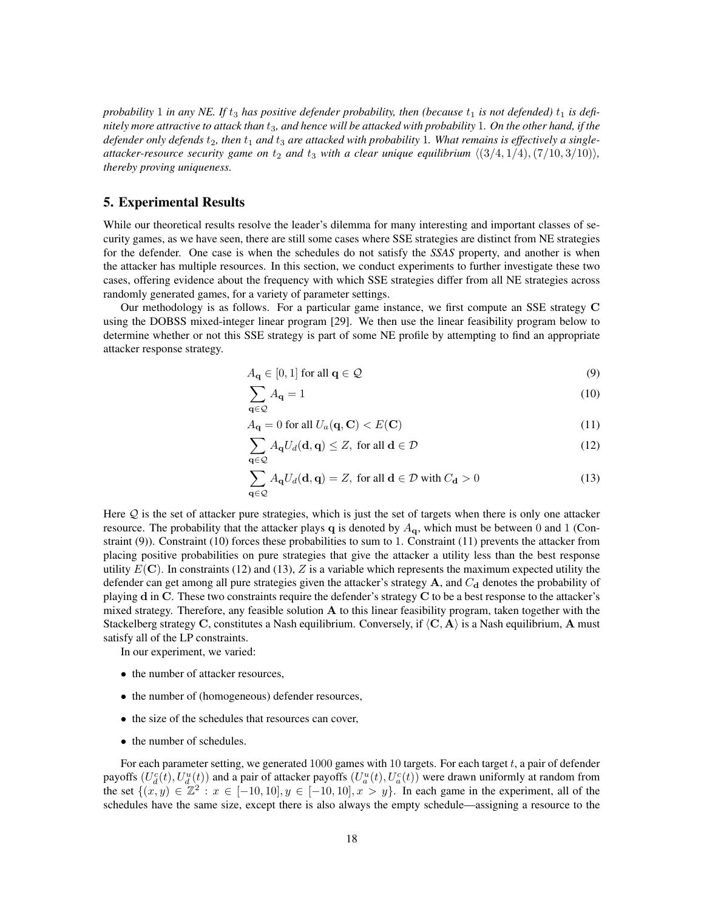*probability* 1 *in any NE. If*  $t_3$  *has positive defender probability, then (because*  $t_1$  *is not defended)*  $t_1$  *is definitely more attractive to attack than* t3*, and hence will be attacked with probability* 1*. On the other hand, if the* defender only defends  $t_2$ , then  $t_1$  and  $t_3$  are attacked with probability 1. What remains is effectively a single*attacker-resource security game on*  $t_2$  *and*  $t_3$  *with a clear unique equilibrium*  $\langle (3/4, 1/4), (7/10, 3/10) \rangle$ *, thereby proving uniqueness.*

# 5. Experimental Results

While our theoretical results resolve the leader's dilemma for many interesting and important classes of security games, as we have seen, there are still some cases where SSE strategies are distinct from NE strategies for the defender. One case is when the schedules do not satisfy the *SSAS* property, and another is when the attacker has multiple resources. In this section, we conduct experiments to further investigate these two cases, offering evidence about the frequency with which SSE strategies differ from all NE strategies across randomly generated games, for a variety of parameter settings.

Our methodology is as follows. For a particular game instance, we first compute an SSE strategy C using the DOBSS mixed-integer linear program [29]. We then use the linear feasibility program below to determine whether or not this SSE strategy is part of some NE profile by attempting to find an appropriate attacker response strategy.

$$
A_{\mathbf{q}} \in [0,1] \text{ for all } \mathbf{q} \in \mathcal{Q}
$$
 (9)

$$
\sum_{\mathbf{q}\in\mathcal{Q}}A_{\mathbf{q}}=1\tag{10}
$$

$$
A_{\mathbf{q}} = 0 \text{ for all } U_a(\mathbf{q}, \mathbf{C}) < E(\mathbf{C}) \tag{11}
$$

$$
\sum_{\mathbf{q}\in\mathcal{Q}} A_{\mathbf{q}} U_d(\mathbf{d}, \mathbf{q}) \le Z, \text{ for all } \mathbf{d}\in\mathcal{D}
$$
\n(12)

$$
\sum_{\mathbf{q}\in\mathcal{Q}} A_{\mathbf{q}} U_d(\mathbf{d}, \mathbf{q}) = Z, \text{ for all } \mathbf{d}\in\mathcal{D} \text{ with } C_{\mathbf{d}} > 0 \tag{13}
$$

Here Q is the set of attacker pure strategies, which is just the set of targets when there is only one attacker resource. The probability that the attacker plays q is denoted by  $A_{q}$ , which must be between 0 and 1 (Constraint (9)). Constraint (10) forces these probabilities to sum to 1. Constraint (11) prevents the attacker from placing positive probabilities on pure strategies that give the attacker a utility less than the best response utility  $E(C)$ . In constraints (12) and (13), Z is a variable which represents the maximum expected utility the defender can get among all pure strategies given the attacker's strategy  $A$ , and  $C_d$  denotes the probability of playing d in C. These two constraints require the defender's strategy C to be a best response to the attacker's mixed strategy. Therefore, any feasible solution  $A$  to this linear feasibility program, taken together with the Stackelberg strategy C, constitutes a Nash equilibrium. Conversely, if  $\langle C, A \rangle$  is a Nash equilibrium, A must satisfy all of the LP constraints.

In our experiment, we varied:

- the number of attacker resources,
- the number of (homogeneous) defender resources,
- the size of the schedules that resources can cover,
- the number of schedules.

For each parameter setting, we generated 1000 games with 10 targets. For each target  $t$ , a pair of defender payoffs  $(U_a^c(t), U_a^u(t))$  and a pair of attacker payoffs  $(U_a^u(t), U_a^c(t))$  were drawn uniformly at random from the set  $\{(x, y) \in \mathbb{Z}^2 : x \in [-10, 10], y \in [-10, 10], x > y\}$ . In each game in the experiment, all of the schedules have the same size, except there is also always the empty schedule—assigning a resource to the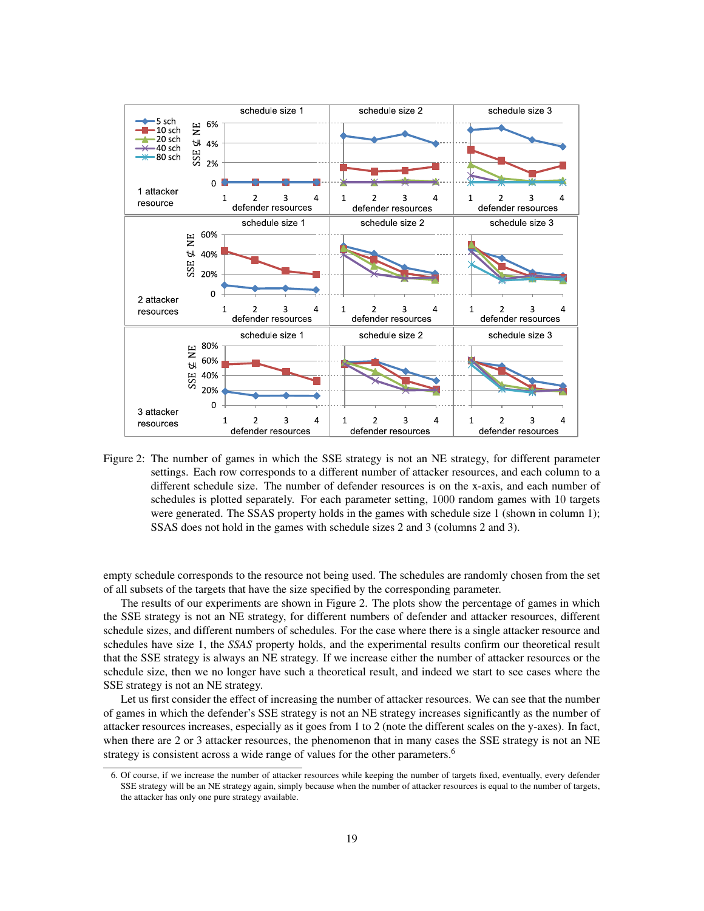

Figure 2: The number of games in which the SSE strategy is not an NE strategy, for different parameter settings. Each row corresponds to a different number of attacker resources, and each column to a different schedule size. The number of defender resources is on the x-axis, and each number of schedules is plotted separately. For each parameter setting, 1000 random games with 10 targets were generated. The SSAS property holds in the games with schedule size 1 (shown in column 1); SSAS does not hold in the games with schedule sizes 2 and 3 (columns 2 and 3).

empty schedule corresponds to the resource not being used. The schedules are randomly chosen from the set of all subsets of the targets that have the size specified by the corresponding parameter.

The results of our experiments are shown in Figure 2. The plots show the percentage of games in which the SSE strategy is not an NE strategy, for different numbers of defender and attacker resources, different schedule sizes, and different numbers of schedules. For the case where there is a single attacker resource and schedules have size 1, the *SSAS* property holds, and the experimental results confirm our theoretical result that the SSE strategy is always an NE strategy. If we increase either the number of attacker resources or the schedule size, then we no longer have such a theoretical result, and indeed we start to see cases where the SSE strategy is not an NE strategy.

Let us first consider the effect of increasing the number of attacker resources. We can see that the number of games in which the defender's SSE strategy is not an NE strategy increases significantly as the number of attacker resources increases, especially as it goes from 1 to 2 (note the different scales on the y-axes). In fact, when there are 2 or 3 attacker resources, the phenomenon that in many cases the SSE strategy is not an NE strategy is consistent across a wide range of values for the other parameters.<sup>6</sup>

<sup>6.</sup> Of course, if we increase the number of attacker resources while keeping the number of targets fixed, eventually, every defender SSE strategy will be an NE strategy again, simply because when the number of attacker resources is equal to the number of targets, the attacker has only one pure strategy available.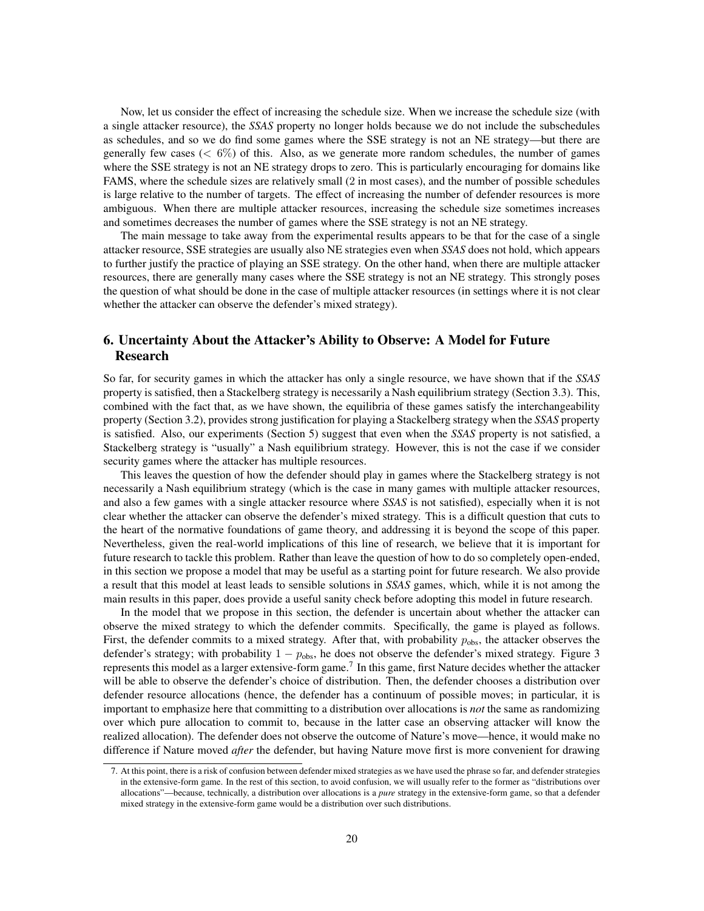Now, let us consider the effect of increasing the schedule size. When we increase the schedule size (with a single attacker resource), the *SSAS* property no longer holds because we do not include the subschedules as schedules, and so we do find some games where the SSE strategy is not an NE strategy—but there are generally few cases ( $\leq 6\%$ ) of this. Also, as we generate more random schedules, the number of games where the SSE strategy is not an NE strategy drops to zero. This is particularly encouraging for domains like FAMS, where the schedule sizes are relatively small (2 in most cases), and the number of possible schedules is large relative to the number of targets. The effect of increasing the number of defender resources is more ambiguous. When there are multiple attacker resources, increasing the schedule size sometimes increases and sometimes decreases the number of games where the SSE strategy is not an NE strategy.

The main message to take away from the experimental results appears to be that for the case of a single attacker resource, SSE strategies are usually also NE strategies even when *SSAS* does not hold, which appears to further justify the practice of playing an SSE strategy. On the other hand, when there are multiple attacker resources, there are generally many cases where the SSE strategy is not an NE strategy. This strongly poses the question of what should be done in the case of multiple attacker resources (in settings where it is not clear whether the attacker can observe the defender's mixed strategy).

# 6. Uncertainty About the Attacker's Ability to Observe: A Model for Future Research

So far, for security games in which the attacker has only a single resource, we have shown that if the *SSAS* property is satisfied, then a Stackelberg strategy is necessarily a Nash equilibrium strategy (Section 3.3). This, combined with the fact that, as we have shown, the equilibria of these games satisfy the interchangeability property (Section 3.2), provides strong justification for playing a Stackelberg strategy when the *SSAS* property is satisfied. Also, our experiments (Section 5) suggest that even when the *SSAS* property is not satisfied, a Stackelberg strategy is "usually" a Nash equilibrium strategy. However, this is not the case if we consider security games where the attacker has multiple resources.

This leaves the question of how the defender should play in games where the Stackelberg strategy is not necessarily a Nash equilibrium strategy (which is the case in many games with multiple attacker resources, and also a few games with a single attacker resource where *SSAS* is not satisfied), especially when it is not clear whether the attacker can observe the defender's mixed strategy. This is a difficult question that cuts to the heart of the normative foundations of game theory, and addressing it is beyond the scope of this paper. Nevertheless, given the real-world implications of this line of research, we believe that it is important for future research to tackle this problem. Rather than leave the question of how to do so completely open-ended, in this section we propose a model that may be useful as a starting point for future research. We also provide a result that this model at least leads to sensible solutions in *SSAS* games, which, while it is not among the main results in this paper, does provide a useful sanity check before adopting this model in future research.

In the model that we propose in this section, the defender is uncertain about whether the attacker can observe the mixed strategy to which the defender commits. Specifically, the game is played as follows. First, the defender commits to a mixed strategy. After that, with probability  $p_{\text{obs}}$ , the attacker observes the defender's strategy; with probability  $1 - p_{obs}$ , he does not observe the defender's mixed strategy. Figure 3 represents this model as a larger extensive-form game.<sup>7</sup> In this game, first Nature decides whether the attacker will be able to observe the defender's choice of distribution. Then, the defender chooses a distribution over defender resource allocations (hence, the defender has a continuum of possible moves; in particular, it is important to emphasize here that committing to a distribution over allocations is *not* the same as randomizing over which pure allocation to commit to, because in the latter case an observing attacker will know the realized allocation). The defender does not observe the outcome of Nature's move—hence, it would make no difference if Nature moved *after* the defender, but having Nature move first is more convenient for drawing

<sup>7.</sup> At this point, there is a risk of confusion between defender mixed strategies as we have used the phrase so far, and defender strategies in the extensive-form game. In the rest of this section, to avoid confusion, we will usually refer to the former as "distributions over allocations"—because, technically, a distribution over allocations is a *pure* strategy in the extensive-form game, so that a defender mixed strategy in the extensive-form game would be a distribution over such distributions.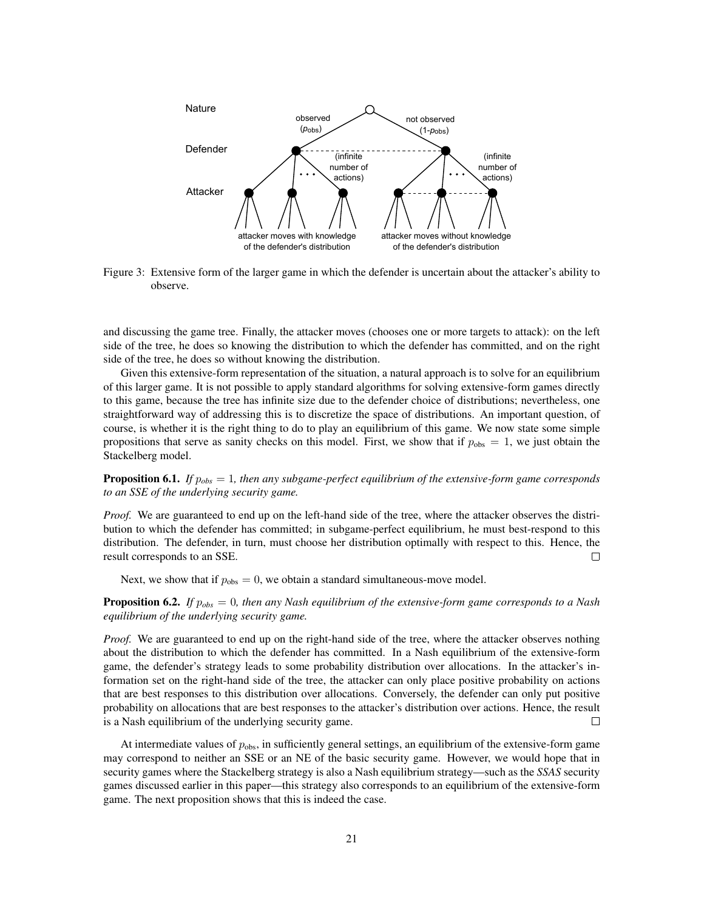

Figure 3: Extensive form of the larger game in which the defender is uncertain about the attacker's ability to observe.

and discussing the game tree. Finally, the attacker moves (chooses one or more targets to attack): on the left side of the tree, he does so knowing the distribution to which the defender has committed, and on the right side of the tree, he does so without knowing the distribution.

Given this extensive-form representation of the situation, a natural approach is to solve for an equilibrium of this larger game. It is not possible to apply standard algorithms for solving extensive-form games directly to this game, because the tree has infinite size due to the defender choice of distributions; nevertheless, one straightforward way of addressing this is to discretize the space of distributions. An important question, of course, is whether it is the right thing to do to play an equilibrium of this game. We now state some simple propositions that serve as sanity checks on this model. First, we show that if  $p_{obs} = 1$ , we just obtain the Stackelberg model.

Proposition 6.1. *If* p*obs* = 1*, then any subgame-perfect equilibrium of the extensive-form game corresponds to an SSE of the underlying security game.*

*Proof.* We are guaranteed to end up on the left-hand side of the tree, where the attacker observes the distribution to which the defender has committed; in subgame-perfect equilibrium, he must best-respond to this distribution. The defender, in turn, must choose her distribution optimally with respect to this. Hence, the result corresponds to an SSE.  $\Box$ 

Next, we show that if  $p_{obs} = 0$ , we obtain a standard simultaneous-move model.

Proposition 6.2. *If* p*obs* = 0*, then any Nash equilibrium of the extensive-form game corresponds to a Nash equilibrium of the underlying security game.*

*Proof.* We are guaranteed to end up on the right-hand side of the tree, where the attacker observes nothing about the distribution to which the defender has committed. In a Nash equilibrium of the extensive-form game, the defender's strategy leads to some probability distribution over allocations. In the attacker's information set on the right-hand side of the tree, the attacker can only place positive probability on actions that are best responses to this distribution over allocations. Conversely, the defender can only put positive probability on allocations that are best responses to the attacker's distribution over actions. Hence, the result is a Nash equilibrium of the underlying security game. П

At intermediate values of  $p_{obs}$ , in sufficiently general settings, an equilibrium of the extensive-form game may correspond to neither an SSE or an NE of the basic security game. However, we would hope that in security games where the Stackelberg strategy is also a Nash equilibrium strategy—such as the *SSAS* security games discussed earlier in this paper—this strategy also corresponds to an equilibrium of the extensive-form game. The next proposition shows that this is indeed the case.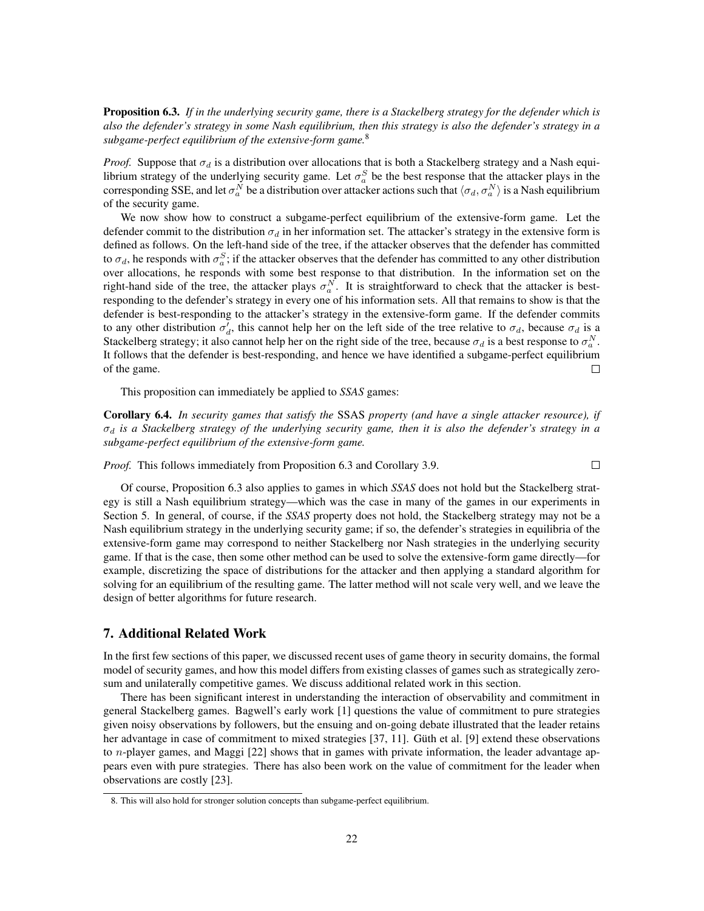Proposition 6.3. *If in the underlying security game, there is a Stackelberg strategy for the defender which is also the defender's strategy in some Nash equilibrium, then this strategy is also the defender's strategy in a subgame-perfect equilibrium of the extensive-form game.*<sup>8</sup>

*Proof.* Suppose that  $\sigma_d$  is a distribution over allocations that is both a Stackelberg strategy and a Nash equilibrium strategy of the underlying security game. Let  $\sigma_a^S$  be the best response that the attacker plays in the corresponding SSE, and let  $\sigma_a^N$  be a distribution over attacker actions such that  $\langle\sigma_d,\sigma_a^N\rangle$  is a Nash equilibrium of the security game.

We now show how to construct a subgame-perfect equilibrium of the extensive-form game. Let the defender commit to the distribution  $\sigma_d$  in her information set. The attacker's strategy in the extensive form is defined as follows. On the left-hand side of the tree, if the attacker observes that the defender has committed to  $\sigma_d$ , he responds with  $\sigma_a^S$ ; if the attacker observes that the defender has committed to any other distribution over allocations, he responds with some best response to that distribution. In the information set on the right-hand side of the tree, the attacker plays  $\sigma_a^N$ . It is straightforward to check that the attacker is bestresponding to the defender's strategy in every one of his information sets. All that remains to show is that the defender is best-responding to the attacker's strategy in the extensive-form game. If the defender commits to any other distribution  $\sigma'_d$ , this cannot help her on the left side of the tree relative to  $\sigma_d$ , because  $\sigma_d$  is a Stackelberg strategy; it also cannot help her on the right side of the tree, because  $\sigma_d$  is a best response to  $\sigma_a^N$ . It follows that the defender is best-responding, and hence we have identified a subgame-perfect equilibrium of the game.  $\Box$ 

This proposition can immediately be applied to *SSAS* games:

Corollary 6.4. *In security games that satisfy the* SSAS *property (and have a single attacker resource), if*  $\sigma_d$  is a Stackelberg strategy of the underlying security game, then it is also the defender's strategy in a *subgame-perfect equilibrium of the extensive-form game.*

 $\Box$ *Proof.* This follows immediately from Proposition 6.3 and Corollary 3.9.

Of course, Proposition 6.3 also applies to games in which *SSAS* does not hold but the Stackelberg strategy is still a Nash equilibrium strategy—which was the case in many of the games in our experiments in Section 5. In general, of course, if the *SSAS* property does not hold, the Stackelberg strategy may not be a Nash equilibrium strategy in the underlying security game; if so, the defender's strategies in equilibria of the extensive-form game may correspond to neither Stackelberg nor Nash strategies in the underlying security game. If that is the case, then some other method can be used to solve the extensive-form game directly—for example, discretizing the space of distributions for the attacker and then applying a standard algorithm for solving for an equilibrium of the resulting game. The latter method will not scale very well, and we leave the design of better algorithms for future research.

# 7. Additional Related Work

In the first few sections of this paper, we discussed recent uses of game theory in security domains, the formal model of security games, and how this model differs from existing classes of games such as strategically zerosum and unilaterally competitive games. We discuss additional related work in this section.

There has been significant interest in understanding the interaction of observability and commitment in general Stackelberg games. Bagwell's early work [1] questions the value of commitment to pure strategies given noisy observations by followers, but the ensuing and on-going debate illustrated that the leader retains her advantage in case of commitment to mixed strategies [37, 11]. Güth et al. [9] extend these observations to *n*-player games, and Maggi  $[22]$  shows that in games with private information, the leader advantage appears even with pure strategies. There has also been work on the value of commitment for the leader when observations are costly [23].

<sup>8.</sup> This will also hold for stronger solution concepts than subgame-perfect equilibrium.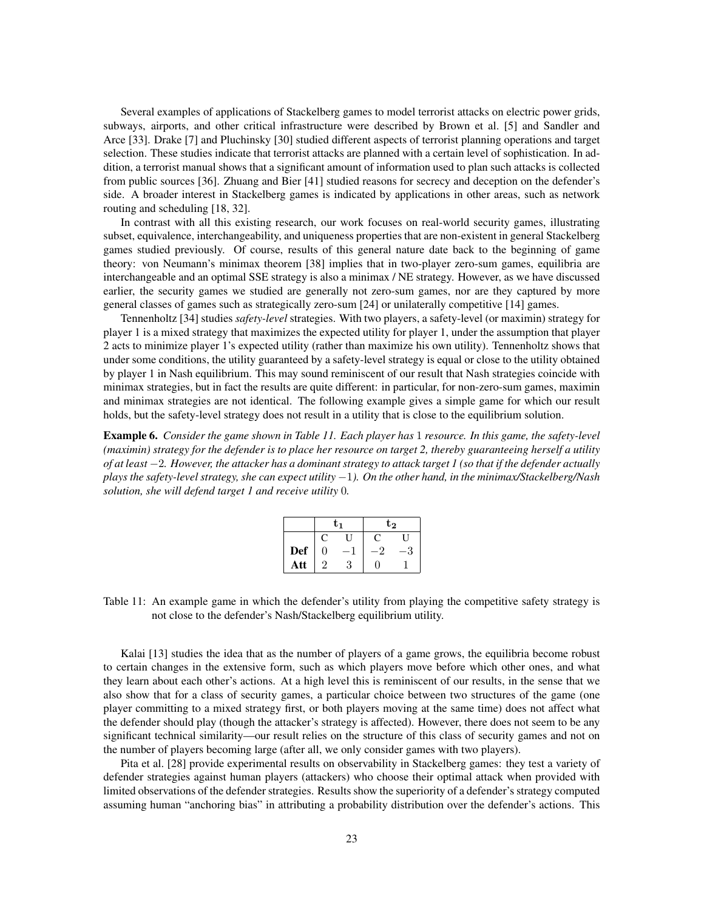Several examples of applications of Stackelberg games to model terrorist attacks on electric power grids, subways, airports, and other critical infrastructure were described by Brown et al. [5] and Sandler and Arce [33]. Drake [7] and Pluchinsky [30] studied different aspects of terrorist planning operations and target selection. These studies indicate that terrorist attacks are planned with a certain level of sophistication. In addition, a terrorist manual shows that a significant amount of information used to plan such attacks is collected from public sources [36]. Zhuang and Bier [41] studied reasons for secrecy and deception on the defender's side. A broader interest in Stackelberg games is indicated by applications in other areas, such as network routing and scheduling [18, 32].

In contrast with all this existing research, our work focuses on real-world security games, illustrating subset, equivalence, interchangeability, and uniqueness properties that are non-existent in general Stackelberg games studied previously. Of course, results of this general nature date back to the beginning of game theory: von Neumann's minimax theorem [38] implies that in two-player zero-sum games, equilibria are interchangeable and an optimal SSE strategy is also a minimax / NE strategy. However, as we have discussed earlier, the security games we studied are generally not zero-sum games, nor are they captured by more general classes of games such as strategically zero-sum [24] or unilaterally competitive [14] games.

Tennenholtz [34] studies *safety-level* strategies. With two players, a safety-level (or maximin) strategy for player 1 is a mixed strategy that maximizes the expected utility for player 1, under the assumption that player 2 acts to minimize player 1's expected utility (rather than maximize his own utility). Tennenholtz shows that under some conditions, the utility guaranteed by a safety-level strategy is equal or close to the utility obtained by player 1 in Nash equilibrium. This may sound reminiscent of our result that Nash strategies coincide with minimax strategies, but in fact the results are quite different: in particular, for non-zero-sum games, maximin and minimax strategies are not identical. The following example gives a simple game for which our result holds, but the safety-level strategy does not result in a utility that is close to the equilibrium solution.

Example 6. *Consider the game shown in Table 11. Each player has* 1 *resource. In this game, the safety-level (maximin) strategy for the defender is to place her resource on target 2, thereby guaranteeing herself a utility of at least* −2*. However, the attacker has a dominant strategy to attack target 1 (so that if the defender actually plays the safety-level strategy, she can expect utility* −1*). On the other hand, in the minimax/Stackelberg/Nash solution, she will defend target 1 and receive utility* 0*.*

|            |   | Ե1 | $\mathrm{t}_2$ |  |  |
|------------|---|----|----------------|--|--|
|            | C |    | . .            |  |  |
| <b>Def</b> | 0 |    |                |  |  |
| Att        |   |    |                |  |  |

Table 11: An example game in which the defender's utility from playing the competitive safety strategy is not close to the defender's Nash/Stackelberg equilibrium utility.

Kalai [13] studies the idea that as the number of players of a game grows, the equilibria become robust to certain changes in the extensive form, such as which players move before which other ones, and what they learn about each other's actions. At a high level this is reminiscent of our results, in the sense that we also show that for a class of security games, a particular choice between two structures of the game (one player committing to a mixed strategy first, or both players moving at the same time) does not affect what the defender should play (though the attacker's strategy is affected). However, there does not seem to be any significant technical similarity—our result relies on the structure of this class of security games and not on the number of players becoming large (after all, we only consider games with two players).

Pita et al. [28] provide experimental results on observability in Stackelberg games: they test a variety of defender strategies against human players (attackers) who choose their optimal attack when provided with limited observations of the defender strategies. Results show the superiority of a defender's strategy computed assuming human "anchoring bias" in attributing a probability distribution over the defender's actions. This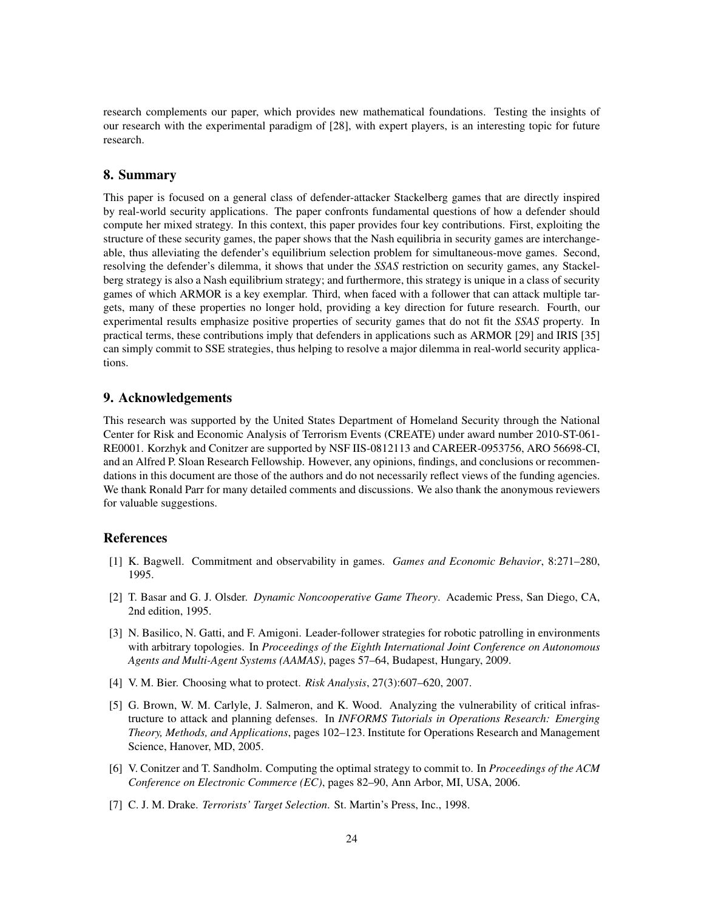research complements our paper, which provides new mathematical foundations. Testing the insights of our research with the experimental paradigm of [28], with expert players, is an interesting topic for future research.

## 8. Summary

This paper is focused on a general class of defender-attacker Stackelberg games that are directly inspired by real-world security applications. The paper confronts fundamental questions of how a defender should compute her mixed strategy. In this context, this paper provides four key contributions. First, exploiting the structure of these security games, the paper shows that the Nash equilibria in security games are interchangeable, thus alleviating the defender's equilibrium selection problem for simultaneous-move games. Second, resolving the defender's dilemma, it shows that under the *SSAS* restriction on security games, any Stackelberg strategy is also a Nash equilibrium strategy; and furthermore, this strategy is unique in a class of security games of which ARMOR is a key exemplar. Third, when faced with a follower that can attack multiple targets, many of these properties no longer hold, providing a key direction for future research. Fourth, our experimental results emphasize positive properties of security games that do not fit the *SSAS* property. In practical terms, these contributions imply that defenders in applications such as ARMOR [29] and IRIS [35] can simply commit to SSE strategies, thus helping to resolve a major dilemma in real-world security applications.

## 9. Acknowledgements

This research was supported by the United States Department of Homeland Security through the National Center for Risk and Economic Analysis of Terrorism Events (CREATE) under award number 2010-ST-061- RE0001. Korzhyk and Conitzer are supported by NSF IIS-0812113 and CAREER-0953756, ARO 56698-CI, and an Alfred P. Sloan Research Fellowship. However, any opinions, findings, and conclusions or recommendations in this document are those of the authors and do not necessarily reflect views of the funding agencies. We thank Ronald Parr for many detailed comments and discussions. We also thank the anonymous reviewers for valuable suggestions.

# References

- [1] K. Bagwell. Commitment and observability in games. *Games and Economic Behavior*, 8:271–280, 1995.
- [2] T. Basar and G. J. Olsder. *Dynamic Noncooperative Game Theory*. Academic Press, San Diego, CA, 2nd edition, 1995.
- [3] N. Basilico, N. Gatti, and F. Amigoni. Leader-follower strategies for robotic patrolling in environments with arbitrary topologies. In *Proceedings of the Eighth International Joint Conference on Autonomous Agents and Multi-Agent Systems (AAMAS)*, pages 57–64, Budapest, Hungary, 2009.
- [4] V. M. Bier. Choosing what to protect. *Risk Analysis*, 27(3):607–620, 2007.
- [5] G. Brown, W. M. Carlyle, J. Salmeron, and K. Wood. Analyzing the vulnerability of critical infrastructure to attack and planning defenses. In *INFORMS Tutorials in Operations Research: Emerging Theory, Methods, and Applications*, pages 102–123. Institute for Operations Research and Management Science, Hanover, MD, 2005.
- [6] V. Conitzer and T. Sandholm. Computing the optimal strategy to commit to. In *Proceedings of the ACM Conference on Electronic Commerce (EC)*, pages 82–90, Ann Arbor, MI, USA, 2006.
- [7] C. J. M. Drake. *Terrorists' Target Selection*. St. Martin's Press, Inc., 1998.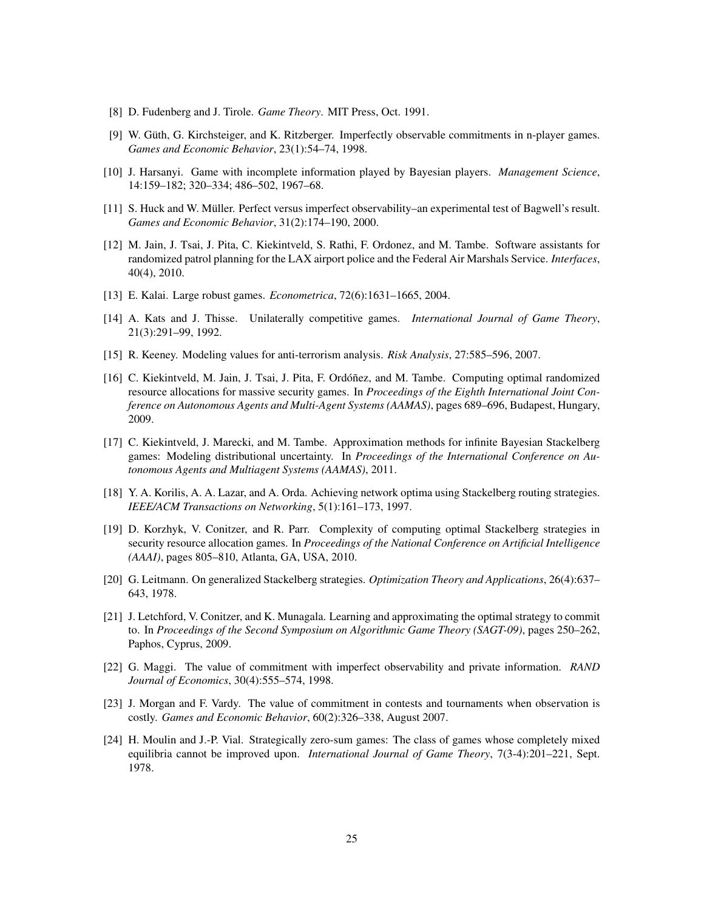- [8] D. Fudenberg and J. Tirole. *Game Theory*. MIT Press, Oct. 1991.
- [9] W. Güth, G. Kirchsteiger, and K. Ritzberger. Imperfectly observable commitments in n-player games. *Games and Economic Behavior*, 23(1):54–74, 1998.
- [10] J. Harsanyi. Game with incomplete information played by Bayesian players. *Management Science*, 14:159–182; 320–334; 486–502, 1967–68.
- [11] S. Huck and W. Muller. Perfect versus imperfect observability–an experimental test of Bagwell's result. ¨ *Games and Economic Behavior*, 31(2):174–190, 2000.
- [12] M. Jain, J. Tsai, J. Pita, C. Kiekintveld, S. Rathi, F. Ordonez, and M. Tambe. Software assistants for randomized patrol planning for the LAX airport police and the Federal Air Marshals Service. *Interfaces*, 40(4), 2010.
- [13] E. Kalai. Large robust games. *Econometrica*, 72(6):1631–1665, 2004.
- [14] A. Kats and J. Thisse. Unilaterally competitive games. *International Journal of Game Theory*, 21(3):291–99, 1992.
- [15] R. Keeney. Modeling values for anti-terrorism analysis. *Risk Analysis*, 27:585–596, 2007.
- [16] C. Kiekintveld, M. Jain, J. Tsai, J. Pita, F. Ordóñez, and M. Tambe. Computing optimal randomized resource allocations for massive security games. In *Proceedings of the Eighth International Joint Conference on Autonomous Agents and Multi-Agent Systems (AAMAS)*, pages 689–696, Budapest, Hungary, 2009.
- [17] C. Kiekintveld, J. Marecki, and M. Tambe. Approximation methods for infinite Bayesian Stackelberg games: Modeling distributional uncertainty. In *Proceedings of the International Conference on Autonomous Agents and Multiagent Systems (AAMAS)*, 2011.
- [18] Y. A. Korilis, A. A. Lazar, and A. Orda. Achieving network optima using Stackelberg routing strategies. *IEEE/ACM Transactions on Networking*, 5(1):161–173, 1997.
- [19] D. Korzhyk, V. Conitzer, and R. Parr. Complexity of computing optimal Stackelberg strategies in security resource allocation games. In *Proceedings of the National Conference on Artificial Intelligence (AAAI)*, pages 805–810, Atlanta, GA, USA, 2010.
- [20] G. Leitmann. On generalized Stackelberg strategies. *Optimization Theory and Applications*, 26(4):637– 643, 1978.
- [21] J. Letchford, V. Conitzer, and K. Munagala. Learning and approximating the optimal strategy to commit to. In *Proceedings of the Second Symposium on Algorithmic Game Theory (SAGT-09)*, pages 250–262, Paphos, Cyprus, 2009.
- [22] G. Maggi. The value of commitment with imperfect observability and private information. *RAND Journal of Economics*, 30(4):555–574, 1998.
- [23] J. Morgan and F. Vardy. The value of commitment in contests and tournaments when observation is costly. *Games and Economic Behavior*, 60(2):326–338, August 2007.
- [24] H. Moulin and J.-P. Vial. Strategically zero-sum games: The class of games whose completely mixed equilibria cannot be improved upon. *International Journal of Game Theory*, 7(3-4):201–221, Sept. 1978.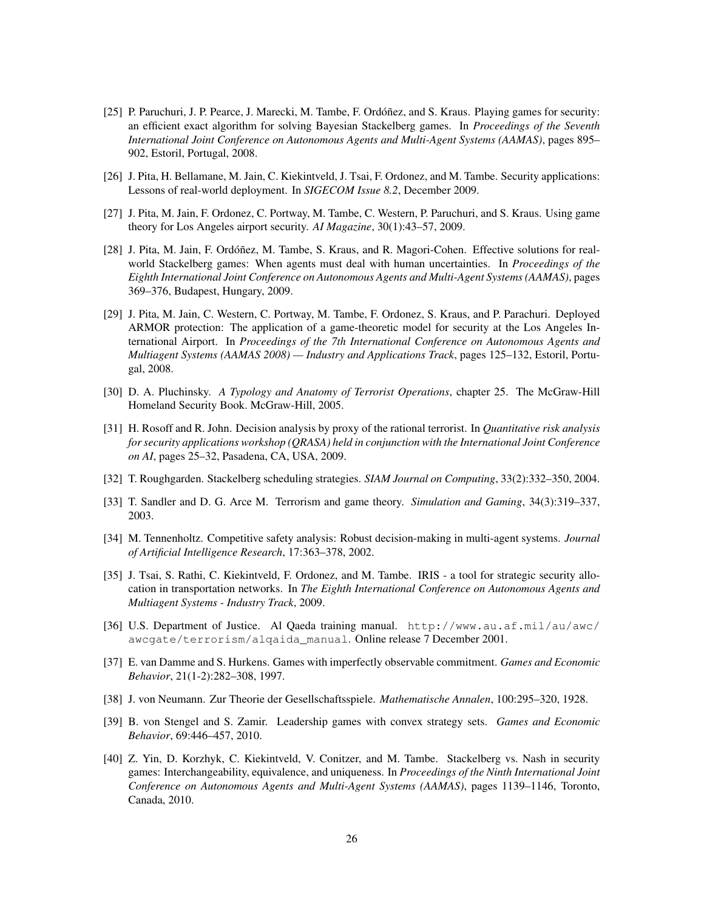- [25] P. Paruchuri, J. P. Pearce, J. Marecki, M. Tambe, F. Ordóñez, and S. Kraus. Playing games for security: an efficient exact algorithm for solving Bayesian Stackelberg games. In *Proceedings of the Seventh International Joint Conference on Autonomous Agents and Multi-Agent Systems (AAMAS)*, pages 895– 902, Estoril, Portugal, 2008.
- [26] J. Pita, H. Bellamane, M. Jain, C. Kiekintveld, J. Tsai, F. Ordonez, and M. Tambe. Security applications: Lessons of real-world deployment. In *SIGECOM Issue 8.2*, December 2009.
- [27] J. Pita, M. Jain, F. Ordonez, C. Portway, M. Tambe, C. Western, P. Paruchuri, and S. Kraus. Using game theory for Los Angeles airport security. *AI Magazine*, 30(1):43–57, 2009.
- [28] J. Pita, M. Jain, F. Ordóñez, M. Tambe, S. Kraus, and R. Magori-Cohen. Effective solutions for realworld Stackelberg games: When agents must deal with human uncertainties. In *Proceedings of the Eighth International Joint Conference on Autonomous Agents and Multi-Agent Systems (AAMAS)*, pages 369–376, Budapest, Hungary, 2009.
- [29] J. Pita, M. Jain, C. Western, C. Portway, M. Tambe, F. Ordonez, S. Kraus, and P. Parachuri. Deployed ARMOR protection: The application of a game-theoretic model for security at the Los Angeles International Airport. In *Proceedings of the 7th International Conference on Autonomous Agents and Multiagent Systems (AAMAS 2008) — Industry and Applications Track*, pages 125–132, Estoril, Portugal, 2008.
- [30] D. A. Pluchinsky. *A Typology and Anatomy of Terrorist Operations*, chapter 25. The McGraw-Hill Homeland Security Book. McGraw-Hill, 2005.
- [31] H. Rosoff and R. John. Decision analysis by proxy of the rational terrorist. In *Quantitative risk analysis for security applications workshop (QRASA) held in conjunction with the International Joint Conference on AI*, pages 25–32, Pasadena, CA, USA, 2009.
- [32] T. Roughgarden. Stackelberg scheduling strategies. *SIAM Journal on Computing*, 33(2):332–350, 2004.
- [33] T. Sandler and D. G. Arce M. Terrorism and game theory. *Simulation and Gaming*, 34(3):319–337, 2003.
- [34] M. Tennenholtz. Competitive safety analysis: Robust decision-making in multi-agent systems. *Journal of Artificial Intelligence Research*, 17:363–378, 2002.
- [35] J. Tsai, S. Rathi, C. Kiekintveld, F. Ordonez, and M. Tambe. IRIS a tool for strategic security allocation in transportation networks. In *The Eighth International Conference on Autonomous Agents and Multiagent Systems - Industry Track*, 2009.
- [36] U.S. Department of Justice. Al Qaeda training manual. http://www.au.af.mil/au/awc/ awcgate/terrorism/alqaida\_manual. Online release 7 December 2001.
- [37] E. van Damme and S. Hurkens. Games with imperfectly observable commitment. *Games and Economic Behavior*, 21(1-2):282–308, 1997.
- [38] J. von Neumann. Zur Theorie der Gesellschaftsspiele. *Mathematische Annalen*, 100:295–320, 1928.
- [39] B. von Stengel and S. Zamir. Leadership games with convex strategy sets. *Games and Economic Behavior*, 69:446–457, 2010.
- [40] Z. Yin, D. Korzhyk, C. Kiekintveld, V. Conitzer, and M. Tambe. Stackelberg vs. Nash in security games: Interchangeability, equivalence, and uniqueness. In *Proceedings of the Ninth International Joint Conference on Autonomous Agents and Multi-Agent Systems (AAMAS)*, pages 1139–1146, Toronto, Canada, 2010.